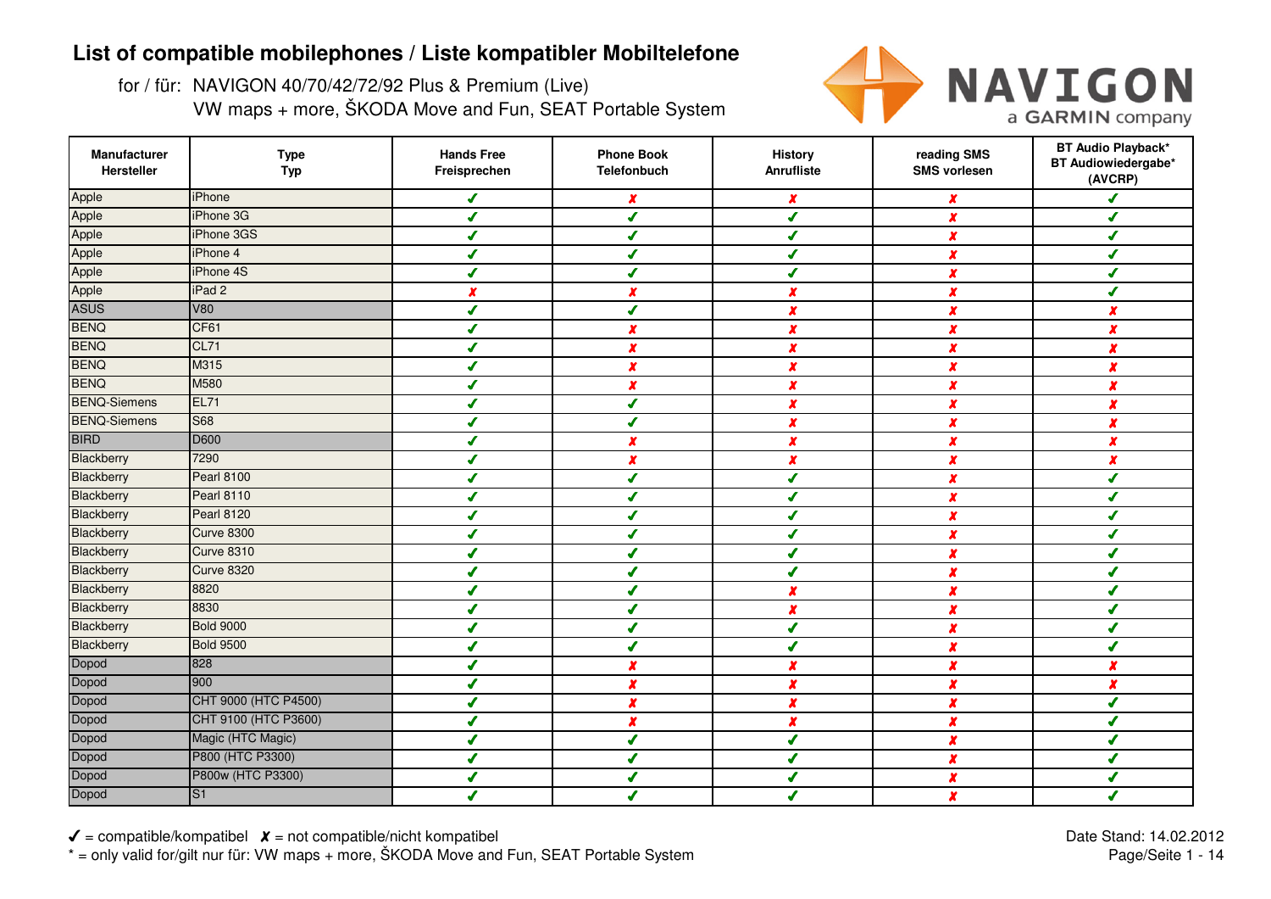for / für: NAVIGON 40/70/42/72/92 Plus & Premium (Live)VW maps + more, ŠKODA Move and Fun, SEAT Portable System



| Manufacturer<br>Hersteller | <b>Type</b><br><b>Typ</b> | <b>Hands Free</b><br>Freisprechen | <b>Phone Book</b><br><b>Telefonbuch</b> | <b>History</b><br>Anrufliste | reading SMS<br><b>SMS vorlesen</b> | <b>BT Audio Playback*</b><br>BT Audiowiedergabe*<br>(AVCRP) |
|----------------------------|---------------------------|-----------------------------------|-----------------------------------------|------------------------------|------------------------------------|-------------------------------------------------------------|
| Apple                      | <b>iPhone</b>             | $\mathcal{L}$                     | x                                       | $\boldsymbol{x}$             | X                                  | J                                                           |
| Apple                      | iPhone 3G                 | J                                 | $\overline{\mathcal{L}}$                | J                            | $\boldsymbol{x}$                   | ✔                                                           |
| Apple                      | iPhone 3GS                | ✔                                 | ✔                                       | $\boldsymbol{J}$             | X                                  | ✔                                                           |
| Apple                      | iPhone 4                  | ✔                                 | ✔                                       | $\boldsymbol{J}$             | $\boldsymbol{x}$                   | ✔                                                           |
| Apple                      | iPhone 4S                 | ✔                                 | ✔                                       | J                            | x                                  | ✔                                                           |
| Apple                      | iPad <sub>2</sub>         | x                                 | $\boldsymbol{x}$                        | x                            | x                                  | ✔                                                           |
| <b>ASUS</b>                | <b>V80</b>                | J                                 | J                                       | X                            | $\boldsymbol{x}$                   | $\boldsymbol{x}$                                            |
| <b>BENQ</b>                | CF61                      | ✔                                 | $\boldsymbol{x}$                        | $\pmb{\chi}$                 | X                                  | $\boldsymbol{x}$                                            |
| <b>BENQ</b>                | <b>CL71</b>               | J                                 | $\boldsymbol{x}$                        | x                            | X                                  | x                                                           |
| <b>BENQ</b>                | M315                      | ✔                                 | $\boldsymbol{x}$                        | $\pmb{x}$                    | $\boldsymbol{x}$                   | $\boldsymbol{x}$                                            |
| <b>BENQ</b>                | M580                      | ✔                                 | $\boldsymbol{x}$                        | $\pmb{x}$                    | $\boldsymbol{x}$                   | $\boldsymbol{x}$                                            |
| <b>BENQ-Siemens</b>        | <b>EL71</b>               | ✔                                 | J                                       | $\pmb{\chi}$                 | $\boldsymbol{x}$                   | $\boldsymbol{x}$                                            |
| <b>BENQ-Siemens</b>        | <b>S68</b>                | ✔                                 | ✔                                       | $\pmb{\chi}$                 | $\boldsymbol{x}$                   | $\boldsymbol{x}$                                            |
| <b>BIRD</b>                | D600                      | ✔                                 | $\boldsymbol{x}$                        | $\boldsymbol{x}$             | X                                  | $\boldsymbol{x}$                                            |
| Blackberry                 | 7290                      | $\overline{I}$                    | $\boldsymbol{x}$                        | $\boldsymbol{x}$             | $\boldsymbol{x}$                   | $\boldsymbol{x}$                                            |
| Blackberry                 | <b>Pearl 8100</b>         | $\mathbf{J}$                      | ✔                                       | $\boldsymbol{J}$             | $\boldsymbol{x}$                   | ✔                                                           |
| Blackberry                 | <b>Pearl 8110</b>         | ✔                                 | ✔                                       | ✔                            | $\boldsymbol{x}$                   | ✔                                                           |
| Blackberry                 | <b>Pearl 8120</b>         | ✔                                 | J                                       | ✔                            | $\boldsymbol{x}$                   | J                                                           |
| Blackberry                 | <b>Curve 8300</b>         | J                                 | J                                       | J                            | $\boldsymbol{x}$                   | J                                                           |
| Blackberry                 | <b>Curve 8310</b>         | ✔                                 | ✔                                       | J                            | x                                  | ✔                                                           |
| Blackberry                 | <b>Curve 8320</b>         | ✔                                 | $\sqrt{2}$                              | J                            | X                                  | ✔                                                           |
| Blackberry                 | 8820                      | ✔                                 |                                         | $\boldsymbol{x}$             | X                                  | ✔                                                           |
| Blackberry                 | 8830                      | J                                 | ✔                                       | $\boldsymbol{x}$             | x                                  | ✔                                                           |
| Blackberry                 | <b>Bold 9000</b>          | ✔                                 | ✔                                       | ✔                            | X                                  | ✔                                                           |
| Blackberry                 | <b>Bold 9500</b>          | ✔                                 | ✔                                       | $\boldsymbol{J}$             | X                                  | ✔                                                           |
| Dopod                      | 828                       | J                                 | $\boldsymbol{x}$                        | $\boldsymbol{x}$             | $\boldsymbol{x}$                   | $\boldsymbol{x}$                                            |
| Dopod                      | 900                       | ✔                                 | $\boldsymbol{x}$                        | X                            | $\boldsymbol{x}$                   | $\boldsymbol{x}$                                            |
| Dopod                      | CHT 9000 (HTC P4500)      | ✔                                 | $\boldsymbol{x}$                        | $\boldsymbol{x}$             | $\boldsymbol{x}$                   | ✔                                                           |
| Dopod                      | CHT 9100 (HTC P3600)      | ✔                                 | $\boldsymbol{x}$                        | $\boldsymbol{x}$             | $\boldsymbol{x}$                   | ✔                                                           |
| Dopod                      | Magic (HTC Magic)         | J                                 | ✔                                       | J                            | $\boldsymbol{x}$                   | ✔                                                           |
| Dopod                      | P800 (HTC P3300)          | J                                 | J                                       | J                            | $\boldsymbol{x}$                   | ✔                                                           |
| Dopod                      | P800w (HTC P3300)         | J                                 | ✔                                       | J                            | $\boldsymbol{x}$                   | ✔                                                           |
| Dopod                      | S <sub>1</sub>            | J                                 | J                                       |                              | $\boldsymbol{x}$                   | J                                                           |

 $\checkmark$  = compatible/kompatibel  $\checkmark$  = not compatible/nicht kompatibel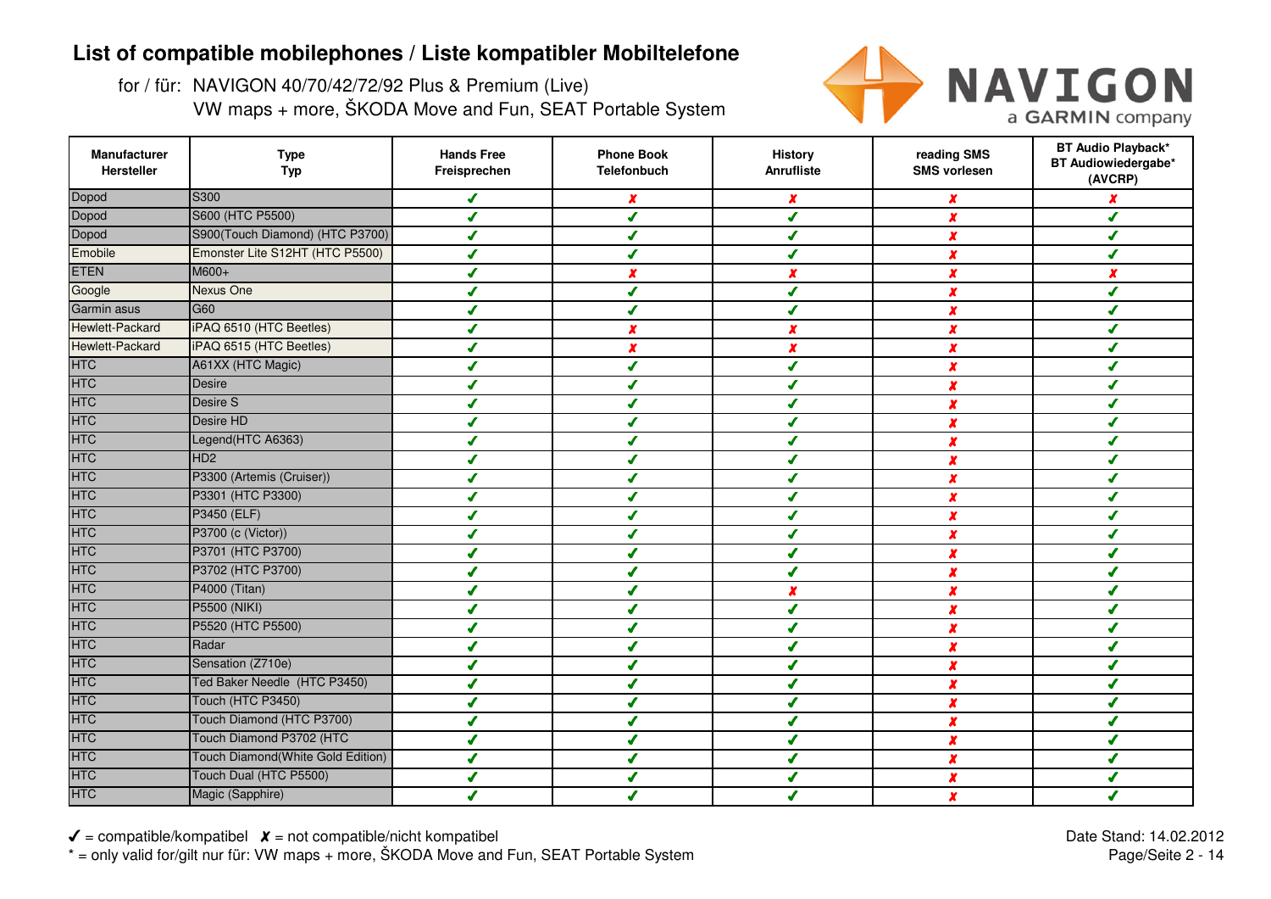for / für: NAVIGON 40/70/42/72/92 Plus & Premium (Live)VW maps + more, ŠKODA Move and Fun, SEAT Portable System



| Manufacturer<br>Hersteller | <b>Type</b><br><b>Typ</b>         | <b>Hands Free</b><br>Freisprechen | <b>Phone Book</b><br><b>Telefonbuch</b> | <b>History</b><br>Anrufliste | reading SMS<br><b>SMS vorlesen</b> | <b>BT Audio Playback*</b><br>BT Audiowiedergabe*<br>(AVCRP) |
|----------------------------|-----------------------------------|-----------------------------------|-----------------------------------------|------------------------------|------------------------------------|-------------------------------------------------------------|
| Dopod                      | S300                              | ✔                                 | x                                       | $\pmb{\chi}$                 | X                                  |                                                             |
| Dopod                      | S600 (HTC P5500)                  | ✔                                 | J                                       | ✔                            | X                                  | ✔                                                           |
| Dopod                      | S900(Touch Diamond) (HTC P3700)   | ✔                                 | ✔                                       | J                            | x                                  | ✔                                                           |
| Emobile                    | Emonster Lite S12HT (HTC P5500)   | J                                 |                                         | J                            | $\boldsymbol{x}$                   | J                                                           |
| <b>ETEN</b>                | M600+                             | ✔                                 | x                                       | X                            | X                                  | $\boldsymbol{x}$                                            |
| Google                     | Nexus One                         | J                                 | J                                       | J                            | X                                  | ✔                                                           |
| Garmin asus                | G <sub>60</sub>                   |                                   | s                                       | s                            | X                                  | J                                                           |
| Hewlett-Packard            | iPAQ 6510 (HTC Beetles)           | J                                 |                                         | x                            | x                                  | J                                                           |
| Hewlett-Packard            | iPAQ 6515 (HTC Beetles)           | J                                 |                                         | X                            | x                                  | J                                                           |
| <b>HTC</b>                 | A61XX (HTC Magic)                 |                                   |                                         | ✔                            | X                                  | ✔                                                           |
| <b>HTC</b>                 | <b>Desire</b>                     |                                   |                                         | J                            | X                                  | J                                                           |
| <b>HTC</b>                 | Desire S                          |                                   |                                         | ℐ                            | X                                  | J                                                           |
| <b>HTC</b>                 | Desire HD                         |                                   | ✔                                       | ✔                            | X                                  | ✔                                                           |
| <b>HTC</b>                 | Legend(HTC A6363)                 | J                                 | ✔                                       | ✔                            | X                                  | ✔                                                           |
| <b>HTC</b>                 | HD <sub>2</sub>                   | ✔                                 | ✔                                       | ✔                            | x                                  | ✔                                                           |
| <b>HTC</b>                 | P3300 (Artemis (Cruiser))         | J                                 |                                         | ✔                            | $\boldsymbol{x}$                   | J                                                           |
| <b>HTC</b>                 | P3301 (HTC P3300)                 | ✔                                 | ✔                                       | ✔                            | x                                  | ✔                                                           |
| <b>HTC</b>                 | P3450 (ELF)                       | ✔                                 | ✔                                       | J                            | x                                  | ✔                                                           |
| <b>HTC</b>                 | P3700 (c (Victor))                | J                                 | s                                       | J                            | $\boldsymbol{x}$                   | J                                                           |
| <b>HTC</b>                 | P3701 (HTC P3700)                 |                                   |                                         |                              | X                                  | J                                                           |
| <b>HTC</b>                 | P3702 (HTC P3700)                 |                                   |                                         |                              | x                                  |                                                             |
| <b>HTC</b>                 | P4000 (Titan)                     |                                   |                                         |                              | X                                  |                                                             |
| <b>HTC</b>                 | <b>P5500 (NIKI)</b>               | J                                 |                                         | ✔                            | X                                  | J                                                           |
| <b>HTC</b>                 | P5520 (HTC P5500)                 | ◢                                 | $\overline{\mathcal{L}}$                | J                            | $\boldsymbol{x}$                   | ✔                                                           |
| <b>HTC</b>                 | Radar                             |                                   | J                                       | ✔                            | X                                  | J                                                           |
| <b>HTC</b>                 | Sensation (Z710e)                 | J                                 | J                                       | J                            | X                                  | J                                                           |
| <b>HTC</b>                 | Ted Baker Needle (HTC P3450)      | ✔                                 | ✔                                       | $\mathcal I$                 | $\boldsymbol{x}$                   | ✔                                                           |
| <b>HTC</b>                 | Touch (HTC P3450)                 | J                                 | ✔                                       | J                            | x                                  | ✔                                                           |
| <b>HTC</b>                 | Touch Diamond (HTC P3700)         | ◢                                 | J                                       | J                            | $\boldsymbol{x}$                   | ✔                                                           |
| <b>HTC</b>                 | Touch Diamond P3702 (HTC          | J                                 | s                                       |                              | X                                  | ✔                                                           |
| <b>HTC</b>                 | Touch Diamond(White Gold Edition) | J                                 | s                                       |                              | x                                  | ✔                                                           |
| <b>HTC</b>                 | Touch Dual (HTC P5500)            | ◢                                 |                                         |                              | x                                  | J                                                           |
| <b>HTC</b>                 | Magic (Sapphire)                  |                                   |                                         |                              | X                                  |                                                             |

 $\checkmark$  = compatible/kompatibel  $\checkmark$  = not compatible/nicht kompatibel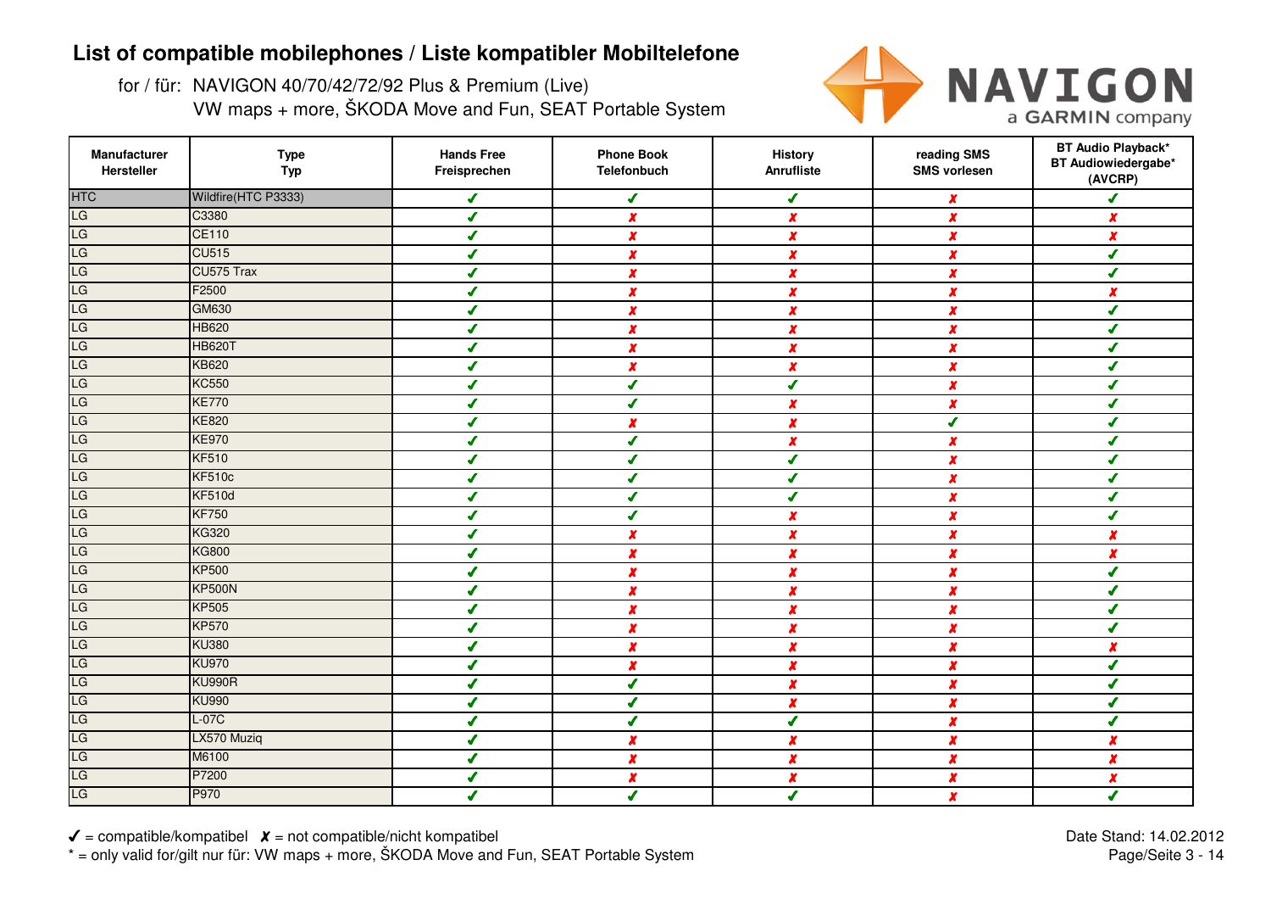for / für: NAVIGON 40/70/42/72/92 Plus & Premium (Live)VW maps + more, ŠKODA Move and Fun, SEAT Portable System



| Manufacturer<br>Hersteller | <b>Type</b><br><b>Typ</b> | <b>Hands Free</b><br>Freisprechen | <b>Phone Book</b><br>Telefonbuch | <b>History</b><br>Anrufliste | reading SMS<br><b>SMS vorlesen</b> | <b>BT Audio Playback*</b><br>BT Audiowiedergabe*<br>(AVCRP) |
|----------------------------|---------------------------|-----------------------------------|----------------------------------|------------------------------|------------------------------------|-------------------------------------------------------------|
| <b>HTC</b>                 | Wildfire(HTC P3333)       | $\sqrt{2}$                        | $\sqrt{2}$                       | $\boldsymbol{J}$             | $\boldsymbol{x}$                   | J                                                           |
| LG                         | C3380                     | ✔                                 | $\boldsymbol{x}$                 | $\pmb{\chi}$                 | X                                  | $\boldsymbol{x}$                                            |
| LG                         | <b>CE110</b>              | ✔                                 | $\pmb{\chi}$                     | $\boldsymbol{x}$             | $\boldsymbol{x}$                   | X                                                           |
| LG                         | <b>CU515</b>              | $\boldsymbol{J}$                  | $\boldsymbol{x}$                 | $\pmb{\chi}$                 | $\pmb{\chi}$                       | ✔                                                           |
| LG                         | CU575 Trax                | ✔                                 | $\boldsymbol{x}$                 | $\boldsymbol{x}$             | $\boldsymbol{x}$                   | ✔                                                           |
| LG                         | F2500                     | ✔                                 | x                                | $\boldsymbol{x}$             | $\boldsymbol{x}$                   | $\boldsymbol{x}$                                            |
| LG                         | <b>GM630</b>              | J                                 | $\boldsymbol{x}$                 | $\boldsymbol{x}$             | $\boldsymbol{x}$                   | J                                                           |
| LG                         | <b>HB620</b>              | ✔                                 | $\pmb{\chi}$                     | $\boldsymbol{x}$             | $\boldsymbol{x}$                   | ✔                                                           |
| LG                         | <b>HB620T</b>             | J                                 | X                                | $\boldsymbol{x}$             | x                                  | s                                                           |
| LG                         | <b>KB620</b>              | ✔                                 | $\boldsymbol{x}$                 | $\boldsymbol{x}$             | $\boldsymbol{x}$                   | $\boldsymbol{J}$                                            |
| LG                         | <b>KC550</b>              | ✔                                 | ✔                                | $\sqrt{2}$                   | $\pmb{\chi}$                       | ✔                                                           |
| LG                         | <b>KE770</b>              | ✔                                 | $\sqrt{2}$                       | $\pmb{\chi}$                 | $\boldsymbol{x}$                   | ✔                                                           |
| LG                         | <b>KE820</b>              | ✔                                 | x                                | $\pmb{\chi}$                 | $\boldsymbol{J}$                   | Í                                                           |
| LG                         | <b>KE970</b>              | ✔                                 | ✔                                | $\boldsymbol{x}$             | $\boldsymbol{x}$                   | ✔                                                           |
| LG                         | <b>KF510</b>              | $\sqrt{2}$                        | $\boldsymbol{J}$                 | $\boldsymbol{J}$             | $\boldsymbol{x}$                   | J                                                           |
| LG                         | <b>KF510c</b>             | ✔                                 | $\boldsymbol{J}$                 | $\boldsymbol{J}$             | $\boldsymbol{x}$                   | J                                                           |
| LG                         | <b>KF510d</b>             | ✔                                 | ✔                                | $\boldsymbol{J}$             | $\boldsymbol{x}$                   | ✔                                                           |
| LG                         | <b>KF750</b>              | ✔                                 | J                                | $\boldsymbol{x}$             | $\boldsymbol{x}$                   | ✔                                                           |
| LG                         | <b>KG320</b>              | ✔                                 | $\boldsymbol{x}$                 | $\boldsymbol{x}$             | $\pmb{\chi}$                       | x                                                           |
| LG                         | <b>KG800</b>              | ✔                                 | $\boldsymbol{x}$                 | $\boldsymbol{x}$             | $\boldsymbol{x}$                   | $\boldsymbol{x}$                                            |
| LG                         | <b>KP500</b>              | ✔                                 | $\pmb{\chi}$                     | $\pmb{\chi}$                 | $\pmb{\chi}$                       | ✔                                                           |
| LG                         | <b>KP500N</b>             | ◢                                 | $\boldsymbol{x}$                 | $\boldsymbol{x}$             | $\pmb{\chi}$                       |                                                             |
| LG                         | <b>KP505</b>              | ✔                                 | $\boldsymbol{x}$                 | $\boldsymbol{x}$             | $\boldsymbol{x}$                   | ✔                                                           |
| LG                         | <b>KP570</b>              | ✔                                 | $\boldsymbol{x}$                 | $\pmb{\chi}$                 | $\boldsymbol{x}$                   | ✔                                                           |
| LG                         | <b>KU380</b>              | ✔                                 | $\pmb{\chi}$                     | $\pmb{\chi}$                 | $\pmb{\chi}$                       | $\boldsymbol{x}$                                            |
| LG                         | <b>KU970</b>              | J                                 | $\boldsymbol{x}$                 | $\pmb{\chi}$                 | $\boldsymbol{x}$                   | ✔                                                           |
| LG                         | <b>KU990R</b>             | ✔                                 | $\overline{\mathcal{L}}$         | $\pmb{\chi}$                 | $\boldsymbol{x}$                   | $\overline{\mathcal{L}}$                                    |
| LG                         | <b>KU990</b>              | ✔                                 | ✔                                | $\boldsymbol{x}$             | $\boldsymbol{x}$                   | ✔                                                           |
| LG                         | $L-07C$                   | ✔                                 | ✔                                | $\mathcal{L}$                | $\boldsymbol{x}$                   | ✔                                                           |
| LG                         | LX570 Muziq               | ✔                                 | $\pmb{\chi}$                     | X                            | $\boldsymbol{x}$                   | $\boldsymbol{x}$                                            |
| LG                         | M6100                     | J                                 | X                                | $\boldsymbol{x}$             | $\boldsymbol{x}$                   | $\boldsymbol{x}$                                            |
| LG                         | P7200                     | J                                 | x                                | $\pmb{\chi}$                 | $\boldsymbol{x}$                   | $\boldsymbol{x}$                                            |
| LG                         | P970                      | ✔                                 | $\overline{\mathcal{L}}$         | ✔                            | $\boldsymbol{x}$                   | ✔                                                           |

 $\checkmark$  = compatible/kompatibel  $\checkmark$  = not compatible/nicht kompatibel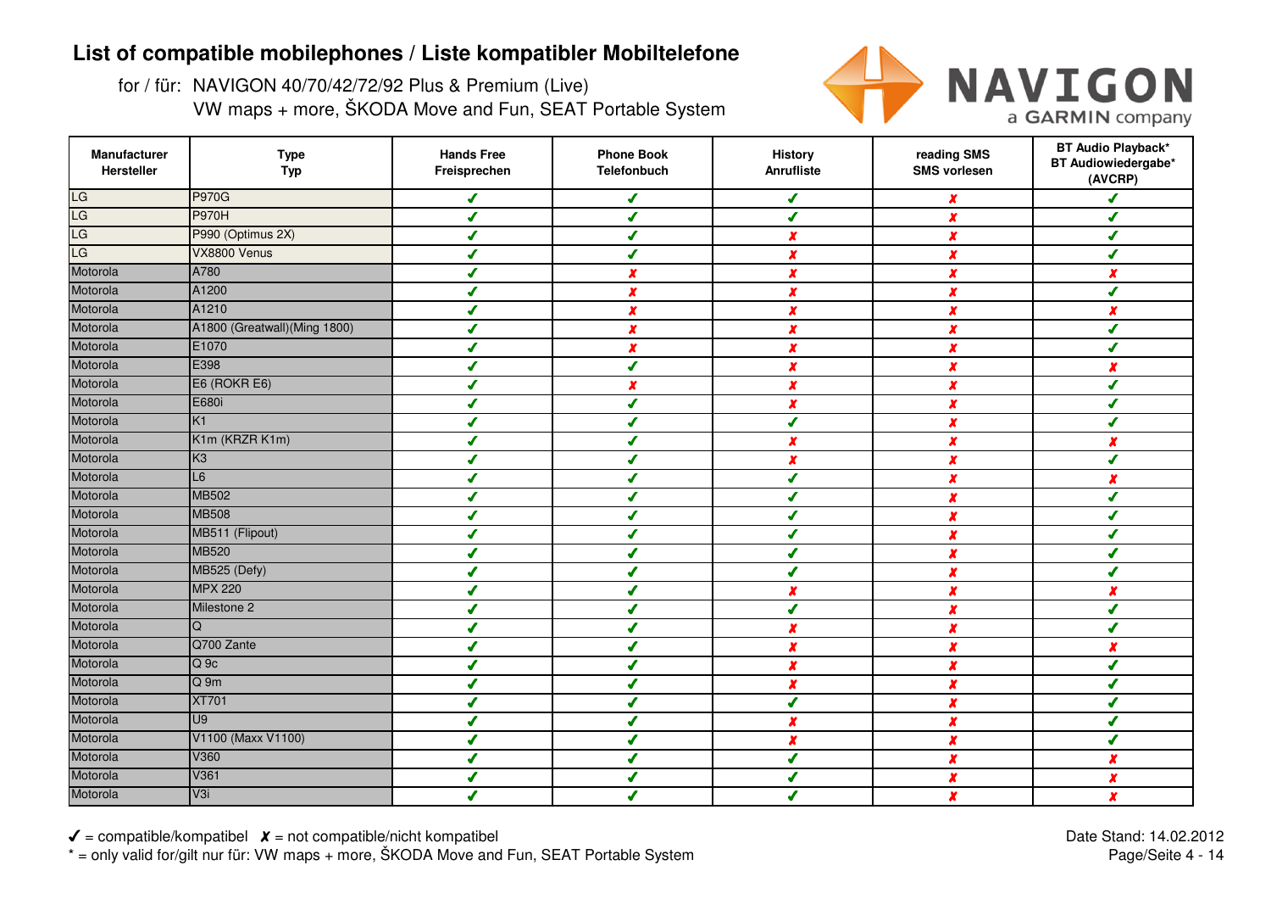for / für: NAVIGON 40/70/42/72/92 Plus & Premium (Live)VW maps + more, ŠKODA Move and Fun, SEAT Portable System



| Manufacturer<br>Hersteller | <b>Type</b><br><b>Typ</b>     | <b>Hands Free</b><br>Freisprechen | <b>Phone Book</b><br><b>Telefonbuch</b> | <b>History</b><br>Anrufliste | reading SMS<br><b>SMS vorlesen</b> | <b>BT Audio Playback*</b><br>BT Audiowiedergabe*<br>(AVCRP) |
|----------------------------|-------------------------------|-----------------------------------|-----------------------------------------|------------------------------|------------------------------------|-------------------------------------------------------------|
| LG                         | <b>P970G</b>                  | ✔                                 | ✔                                       | ✔                            | x                                  | J                                                           |
| LG                         | <b>P970H</b>                  | J                                 | ✔                                       | ✔                            | $\boldsymbol{x}$                   | J                                                           |
| LG                         | P990 (Optimus 2X)             | ✔                                 | ✔                                       | $\boldsymbol{x}$             | X                                  | ✔                                                           |
| LG                         | VX8800 Venus                  | ✔                                 | J                                       | $\boldsymbol{x}$             | $\boldsymbol{x}$                   | ✔                                                           |
| Motorola                   | A780                          | ✔                                 | x                                       | X                            | $\boldsymbol{x}$                   | $\boldsymbol{x}$                                            |
| Motorola                   | A1200                         | J                                 | x                                       | X                            | $\boldsymbol{x}$                   | J                                                           |
| Motorola                   | A1210                         | J                                 | $\boldsymbol{x}$                        | $\boldsymbol{x}$             | x                                  | x                                                           |
| Motorola                   | A1800 (Greatwall) (Ming 1800) | J                                 | $\boldsymbol{x}$                        | x                            | X                                  | J                                                           |
| Motorola                   | E1070                         | J                                 | x                                       | x                            | X                                  |                                                             |
| Motorola                   | E398                          | J                                 | $\boldsymbol{J}$                        | $\boldsymbol{x}$             | x                                  | x                                                           |
| Motorola                   | E6 (ROKR E6)                  | ✔                                 | $\boldsymbol{x}$                        | $\boldsymbol{x}$             | $\boldsymbol{x}$                   | ✔                                                           |
| Motorola                   | E680i                         | J                                 | ✔                                       | $\pmb{\chi}$                 | X                                  | ✔                                                           |
| Motorola                   | K1                            | ✔                                 | ✔                                       | $\boldsymbol{J}$             | $\boldsymbol{x}$                   | J                                                           |
| Motorola                   | K1m (KRZR K1m)                | ✔                                 | ✔                                       | $\boldsymbol{x}$             | $\boldsymbol{x}$                   | $\boldsymbol{x}$                                            |
| Motorola                   | K <sub>3</sub>                | $\overline{\mathcal{L}}$          | ✔                                       | $\pmb{\chi}$                 | $\boldsymbol{x}$                   | J                                                           |
| Motorola                   | L6                            | ✔                                 | ✔                                       | $\boldsymbol{J}$             | $\boldsymbol{x}$                   | $\boldsymbol{x}$                                            |
| Motorola                   | <b>MB502</b>                  | ✔                                 | ✔                                       | ✔                            | $\boldsymbol{x}$                   | ✔                                                           |
| Motorola                   | <b>MB508</b>                  | J                                 | J                                       | J                            | $\boldsymbol{x}$                   | J                                                           |
| Motorola                   | MB511 (Flipout)               | J                                 | J                                       | J                            | X                                  | ✔                                                           |
| Motorola                   | <b>MB520</b>                  | J                                 |                                         | ℐ                            | X                                  | ✔                                                           |
| Motorola                   | MB525 (Defy)                  | ✔                                 |                                         | ✔                            | X                                  | ✔                                                           |
| Motorola                   | <b>MPX 220</b>                | J                                 |                                         | x                            | x                                  | x                                                           |
| Motorola                   | Milestone 2                   | J                                 |                                         | J                            | $\boldsymbol{x}$                   | ✔                                                           |
| Motorola                   | Q                             | ✔                                 | ✔                                       | $\pmb{\chi}$                 | $\boldsymbol{x}$                   | ✔                                                           |
| Motorola                   | Q700 Zante                    | ✔                                 | ✔                                       | $\boldsymbol{x}$             | X                                  | $\boldsymbol{x}$                                            |
| Motorola                   | $Q_{0}$                       | J                                 | $\boldsymbol{J}$                        | x                            | $\boldsymbol{x}$                   | J                                                           |
| Motorola                   | Q <sub>9m</sub>               | ✔                                 | ✔                                       | X                            | $\boldsymbol{x}$                   | J                                                           |
| Motorola                   | <b>XT701</b>                  | ✔                                 | ✔                                       | ✔                            | $\boldsymbol{x}$                   | ✔                                                           |
| Motorola                   | U <sub>9</sub>                | ✔                                 | ✔                                       | $\boldsymbol{x}$             | x                                  | ✔                                                           |
| Motorola                   | V1100 (Maxx V1100)            | J                                 | J                                       | X                            | $\boldsymbol{x}$                   | ✔                                                           |
| Motorola                   | V360                          | J                                 | J                                       | J                            | x                                  | x                                                           |
| Motorola                   | V361                          | ◢                                 |                                         | J                            | x                                  | $\boldsymbol{x}$                                            |
| Motorola                   | V3i                           |                                   |                                         |                              | x                                  | $\boldsymbol{x}$                                            |

 $\checkmark$  = compatible/kompatibel  $\checkmark$  = not compatible/nicht kompatibel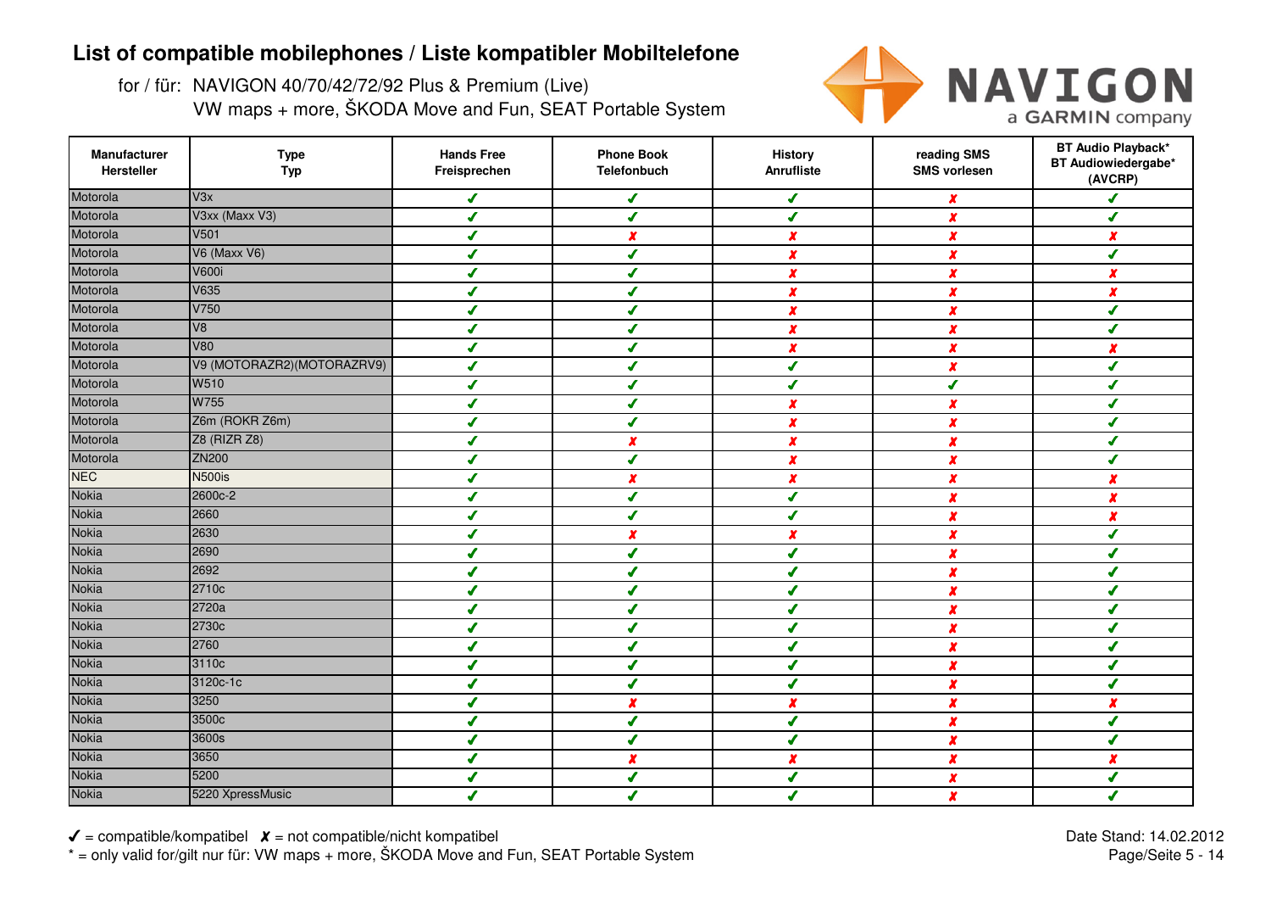for / für: NAVIGON 40/70/42/72/92 Plus & Premium (Live)VW maps + more, ŠKODA Move and Fun, SEAT Portable System



| Manufacturer<br>Hersteller | <b>Type</b><br><b>Typ</b>  | <b>Hands Free</b><br>Freisprechen | <b>Phone Book</b><br><b>Telefonbuch</b> | <b>History</b><br>Anrufliste | reading SMS<br><b>SMS vorlesen</b> | <b>BT Audio Playback*</b><br>BT Audiowiedergabe*<br>(AVCRP) |
|----------------------------|----------------------------|-----------------------------------|-----------------------------------------|------------------------------|------------------------------------|-------------------------------------------------------------|
| Motorola                   | V3x                        | ✔                                 | ✔                                       | ✔                            | x                                  | J                                                           |
| Motorola                   | V3xx (Maxx V3)             | J                                 | ✔                                       | ✔                            | $\boldsymbol{x}$                   | J                                                           |
| Motorola                   | V501                       | ✔                                 | x                                       | $\boldsymbol{x}$             | $\boldsymbol{x}$                   | x                                                           |
| Motorola                   | <b>V6 (Maxx V6)</b>        | ✔                                 | ✔                                       | $\boldsymbol{x}$             | x                                  | ✔                                                           |
| Motorola                   | <b>V600i</b>               | ✔                                 | ✔                                       | X                            | $\boldsymbol{x}$                   | $\boldsymbol{x}$                                            |
| Motorola                   | V635                       | J                                 | J                                       | X                            | $\boldsymbol{x}$                   | $\boldsymbol{x}$                                            |
| Motorola                   | V750                       | J                                 | J                                       | $\boldsymbol{x}$             | x                                  | ✔                                                           |
| Motorola                   | V8                         | J                                 |                                         | x                            | X                                  | J                                                           |
| Motorola                   | V80                        | ✔                                 |                                         | x                            | X                                  | x                                                           |
| Motorola                   | V9 (MOTORAZR2)(MOTORAZRV9) | ✔                                 |                                         | ✔                            | $\boldsymbol{x}$                   | ✔                                                           |
| Motorola                   | W510                       | ✔                                 | J                                       | ✔                            | $\boldsymbol{J}$                   | ✔                                                           |
| Motorola                   | W755                       | ✔                                 | ✔                                       | $\pmb{\chi}$                 | X                                  | ✔                                                           |
| Motorola                   | Z6m (ROKR Z6m)             | ✔                                 | ✔                                       | $\boldsymbol{x}$             | x                                  | J                                                           |
| Motorola                   | Z8 (RIZR Z8)               | ✔                                 | $\boldsymbol{x}$                        | $\boldsymbol{x}$             | X                                  | ✔                                                           |
| Motorola                   | <b>ZN200</b>               | ✔                                 | $\overline{\mathbf{I}}$                 | $\pmb{\chi}$                 | $\boldsymbol{x}$                   | ✔                                                           |
| <b>NEC</b>                 | <b>N500is</b>              | ✔                                 | x                                       | $\boldsymbol{x}$             | $\boldsymbol{x}$                   | $\boldsymbol{x}$                                            |
| <b>Nokia</b>               | 2600c-2                    | ✔                                 | ✔                                       | ✔                            | $\boldsymbol{x}$                   | $\boldsymbol{x}$                                            |
| <b>Nokia</b>               | 2660                       | J                                 | J                                       | ✔                            | $\boldsymbol{x}$                   | $\boldsymbol{x}$                                            |
| Nokia                      | 2630                       | J                                 | x                                       | $\boldsymbol{x}$             | x                                  | ✔                                                           |
| <b>Nokia</b>               | 2690                       | ✔                                 | ✔                                       | ✔                            | $\boldsymbol{x}$                   | ✔                                                           |
| Nokia                      | 2692                       | ✔                                 |                                         | ✔                            | X                                  | ✔                                                           |
| Nokia                      | 2710c                      | J                                 |                                         | ✔                            | $\boldsymbol{x}$                   | J                                                           |
| <b>Nokia</b>               | 2720a                      | J                                 | ✔                                       | J                            | $\boldsymbol{x}$                   | ✔                                                           |
| <b>Nokia</b>               | 2730c                      | ✔                                 | ✔                                       | $\sqrt{2}$                   | $\boldsymbol{x}$                   | ✔                                                           |
| <b>Nokia</b>               | 2760                       | $\boldsymbol{J}$                  | ✔                                       | ✔                            | $\boldsymbol{x}$                   | ✔                                                           |
| Nokia                      | 3110c                      | ✔                                 | ✔                                       | J                            | $\boldsymbol{x}$                   | J                                                           |
| Nokia                      | 3120c-1c                   | ✔                                 | ✔                                       | ✔                            | $\boldsymbol{x}$                   | J                                                           |
| <b>Nokia</b>               | 3250                       | ✔                                 | x                                       | $\boldsymbol{x}$             | $\boldsymbol{x}$                   | x                                                           |
| <b>Nokia</b>               | 3500c                      | ✔                                 | ✔                                       | J                            | x                                  | ✔                                                           |
| <b>Nokia</b>               | 3600s                      | J                                 | J                                       | J                            | $\boldsymbol{x}$                   | ✔                                                           |
| <b>Nokia</b>               | 3650                       | J                                 | x                                       | x                            | x                                  | x                                                           |
| <b>Nokia</b>               | 5200                       | J                                 | ✔                                       | J                            | x                                  | ✔                                                           |
| <b>Nokia</b>               | 5220 XpressMusic           | J                                 | J                                       | J                            | x                                  | J                                                           |

 $\checkmark$  = compatible/kompatibel  $\checkmark$  = not compatible/nicht kompatibel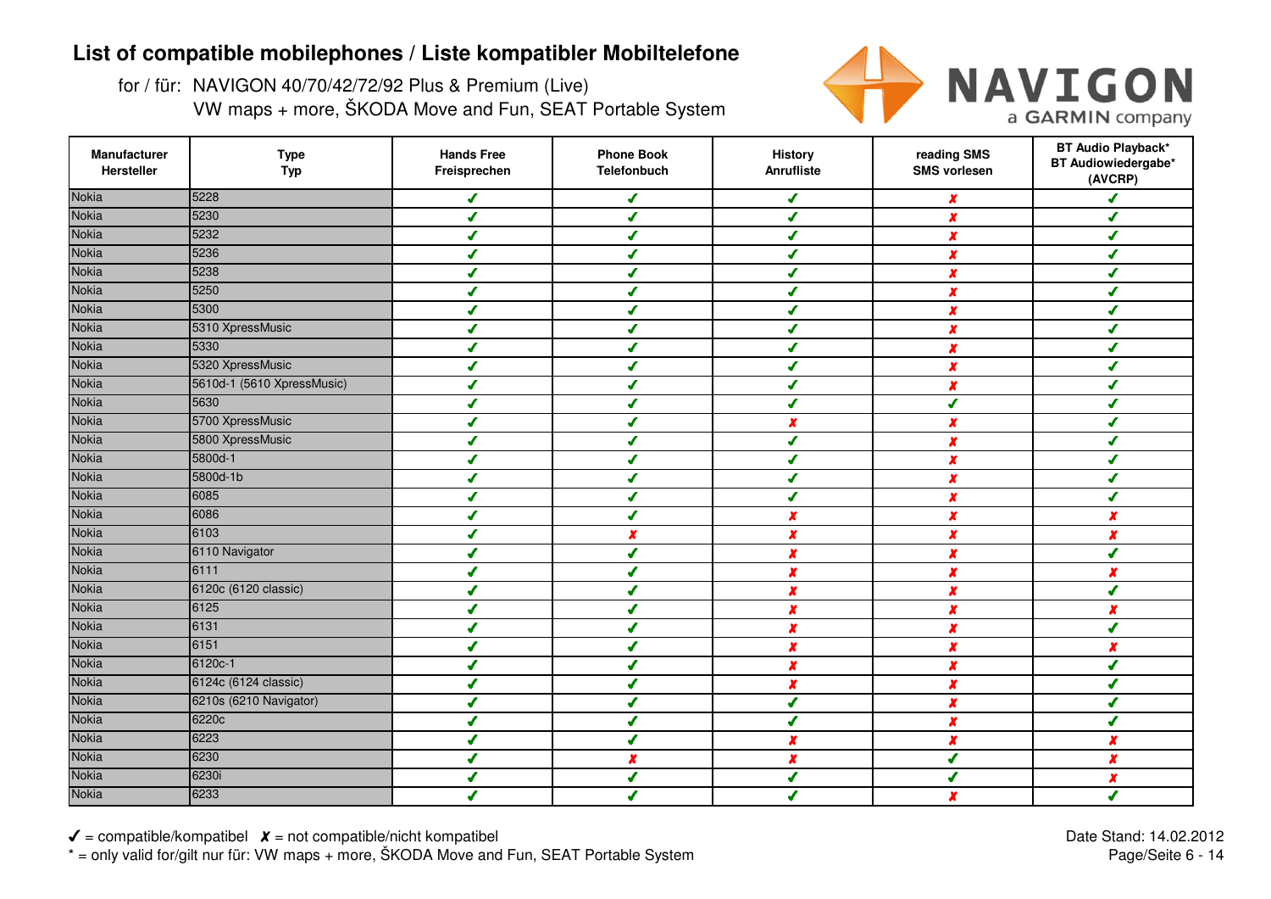for / für: NAVIGON 40/70/42/72/92 Plus & Premium (Live)VW maps + more, ŠKODA Move and Fun, SEAT Portable System



| Manufacturer<br>Hersteller | <b>Type</b><br><b>Typ</b>  | <b>Hands Free</b><br>Freisprechen | <b>Phone Book</b><br><b>Telefonbuch</b> | <b>History</b><br>Anrufliste | reading SMS<br><b>SMS vorlesen</b> | <b>BT Audio Playback*</b><br>BT Audiowiedergabe*<br>(AVCRP) |
|----------------------------|----------------------------|-----------------------------------|-----------------------------------------|------------------------------|------------------------------------|-------------------------------------------------------------|
| <b>Nokia</b>               | 5228                       | ✔                                 | ✔                                       | J                            | x                                  | J                                                           |
| <b>Nokia</b>               | 5230                       | J                                 | ✔                                       | ✔                            | $\boldsymbol{x}$                   | ✔                                                           |
| <b>Nokia</b>               | 5232                       | ✔                                 | ✔                                       | ✔                            | X                                  | ✔                                                           |
| <b>Nokia</b>               | 5236                       | J                                 | ✔                                       | J                            | x                                  | ✔                                                           |
| <b>Nokia</b>               | 5238                       | ✔                                 | ✔                                       | ✔                            | $\boldsymbol{x}$                   | ✔                                                           |
| <b>Nokia</b>               | 5250                       | J                                 | J                                       | J                            | X                                  | J                                                           |
| <b>Nokia</b>               | 5300                       | J                                 | J                                       | J                            | X                                  | ✔                                                           |
| <b>Nokia</b>               | 5310 XpressMusic           | ✔                                 |                                         |                              | X                                  | ✔                                                           |
| <b>Nokia</b>               | 5330                       | J                                 |                                         | $\boldsymbol{J}$             | X                                  | J                                                           |
| <b>Nokia</b>               | 5320 XpressMusic           | ✔                                 |                                         | ✔                            | x                                  | ✔                                                           |
| <b>Nokia</b>               | 5610d-1 (5610 XpressMusic) | J                                 | ✔                                       | ✔                            | X                                  | ✔                                                           |
| <b>Nokia</b>               | 5630                       | J                                 | ✔                                       | $\sqrt{2}$                   | ✔                                  | ✔                                                           |
| <b>Nokia</b>               | 5700 XpressMusic           | J                                 | ✔                                       | $\boldsymbol{x}$             | x                                  | ✔                                                           |
| <b>Nokia</b>               | 5800 XpressMusic           | ✔                                 | ✔                                       | ✔                            | X                                  | ✔                                                           |
| <b>Nokia</b>               | 5800d-1                    | ✔                                 | $\boldsymbol{J}$                        | $\sqrt{2}$                   | X                                  | ✔                                                           |
| <b>Nokia</b>               | 5800d-1b                   | ✔                                 | ✔                                       | $\boldsymbol{J}$             | x                                  | ✔                                                           |
| <b>Nokia</b>               | 6085                       | ✔                                 | ✔                                       | ✔                            | $\boldsymbol{x}$                   | ✔                                                           |
| <b>Nokia</b>               | 6086                       | ✔                                 | ✔                                       | $\boldsymbol{x}$             | $\boldsymbol{x}$                   | $\boldsymbol{x}$                                            |
| <b>Nokia</b>               | 6103                       | ✔                                 | $\boldsymbol{x}$                        | $\boldsymbol{x}$             | x                                  | $\boldsymbol{x}$                                            |
| <b>Nokia</b>               | 6110 Navigator             | ✔                                 | ✔                                       | $\boldsymbol{x}$             | x                                  | ✔                                                           |
| <b>Nokia</b>               | 6111                       | ✔                                 |                                         | $\pmb{\chi}$                 | X                                  | x                                                           |
| <b>Nokia</b>               | 6120c (6120 classic)       | J                                 |                                         | x                            | X                                  | J                                                           |
| <b>Nokia</b>               | 6125                       | J                                 | ✔                                       | $\boldsymbol{x}$             | X                                  | $\boldsymbol{x}$                                            |
| <b>Nokia</b>               | 6131                       | ✔                                 | ✔                                       | $\pmb{\chi}$                 | $\pmb{\chi}$                       | ✔                                                           |
| <b>Nokia</b>               | 6151                       | ✔                                 | ✔                                       | $\boldsymbol{x}$             | X                                  | $\boldsymbol{x}$                                            |
| <b>Nokia</b>               | 6120c-1                    | J                                 | ✔                                       | $\boldsymbol{x}$             | X                                  | ✔                                                           |
| <b>Nokia</b>               | 6124c (6124 classic)       | ✔                                 | ✔                                       | X                            | X                                  | ✔                                                           |
| <b>Nokia</b>               | 6210s (6210 Navigator)     | ✔                                 | ✔                                       | ✔                            | x                                  | ✔                                                           |
| <b>Nokia</b>               | 6220c                      | ✔                                 | ✔                                       | J                            | $\boldsymbol{x}$                   | ✔                                                           |
| <b>Nokia</b>               | 6223                       | ✔                                 | J                                       | X                            | $\boldsymbol{x}$                   | $\boldsymbol{x}$                                            |
| <b>Nokia</b>               | 6230                       | J                                 | x                                       | x                            | ✔                                  | x                                                           |
| <b>Nokia</b>               | 6230i                      | J                                 | $\sqrt{2}$                              | J                            | ✔                                  | $\boldsymbol{x}$                                            |
| <b>Nokia</b>               | 6233                       |                                   |                                         |                              | X                                  | J                                                           |

 $\checkmark$  = compatible/kompatibel  $\checkmark$  = not compatible/nicht kompatibel \* = only valid for/gilt nur für: VW maps + more, ŠKODA Move and Fun, SEAT Portable System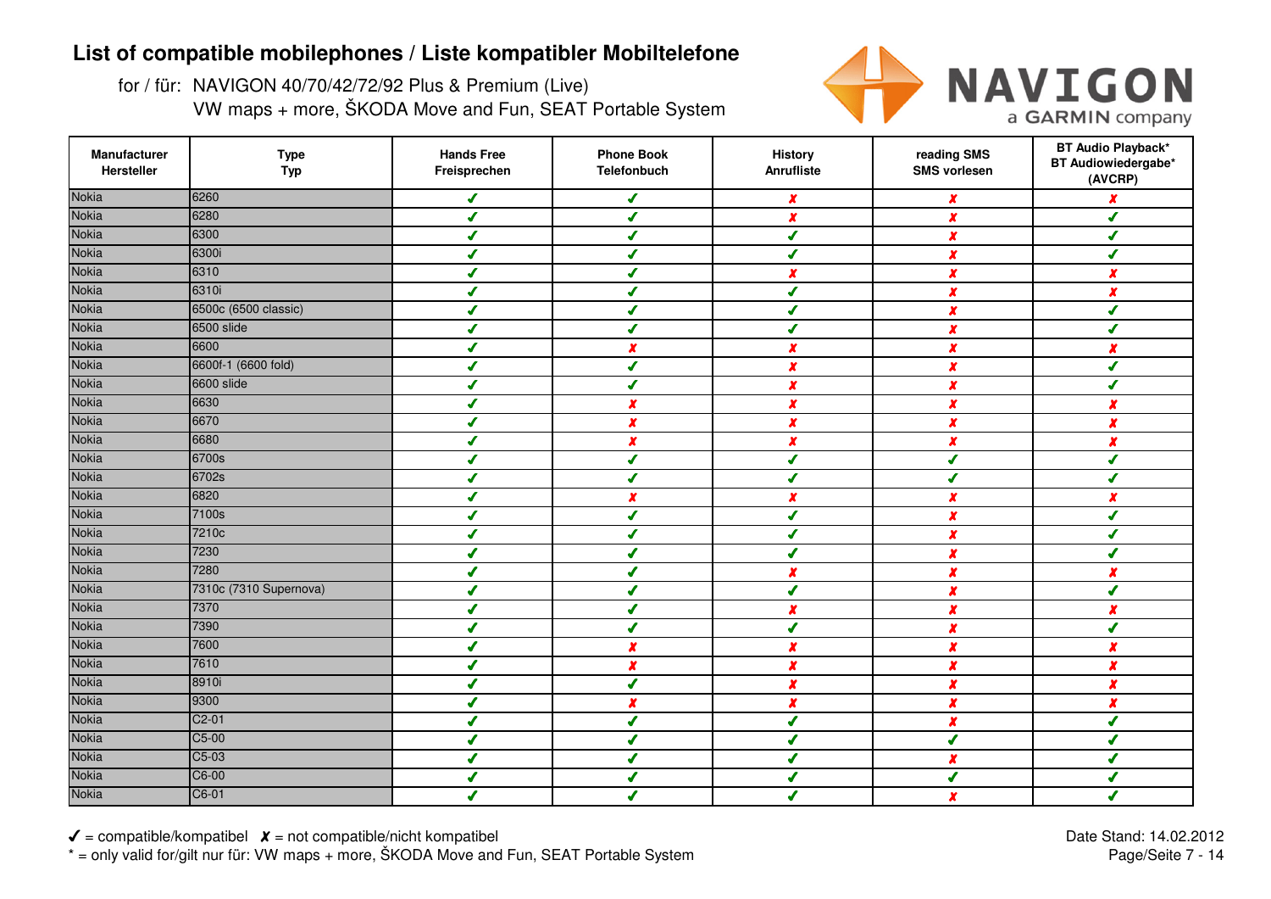for / für: NAVIGON 40/70/42/72/92 Plus & Premium (Live)VW maps + more, ŠKODA Move and Fun, SEAT Portable System



| Manufacturer<br>Hersteller | <b>Type</b><br><b>Typ</b> | <b>Hands Free</b><br>Freisprechen | <b>Phone Book</b><br>Telefonbuch | <b>History</b><br><b>Anrufliste</b> | reading SMS<br><b>SMS vorlesen</b> | <b>BT Audio Playback*</b><br>BT Audiowiedergabe*<br>(AVCRP) |
|----------------------------|---------------------------|-----------------------------------|----------------------------------|-------------------------------------|------------------------------------|-------------------------------------------------------------|
| <b>Nokia</b>               | 6260                      | ✔                                 | ✔                                | x                                   | x                                  | $\boldsymbol{x}$                                            |
| <b>Nokia</b>               | 6280                      | ✔                                 | ✔                                | $\boldsymbol{x}$                    | $\boldsymbol{x}$                   | $\mathcal I$                                                |
| <b>Nokia</b>               | 6300                      | ✔                                 | ✔                                | $\boldsymbol{J}$                    | x                                  | ✔                                                           |
| <b>Nokia</b>               | 6300i                     | ✔                                 | ✔                                | ✔                                   | $\boldsymbol{x}$                   | ✔                                                           |
| <b>Nokia</b>               | 6310                      | ✔                                 | ✔                                | X                                   | $\boldsymbol{x}$                   | $\boldsymbol{x}$                                            |
| <b>Nokia</b>               | 6310i                     | J                                 | J                                | ✔                                   | X                                  | ×                                                           |
| <b>Nokia</b>               | 6500c (6500 classic)      | J                                 | ✔                                | J                                   | $\boldsymbol{x}$                   | J                                                           |
| Nokia                      | 6500 slide                | ✔                                 | J                                | s                                   | x                                  | J                                                           |
| <b>Nokia</b>               | 6600                      | J                                 | x                                | X                                   | X                                  | x                                                           |
| <b>Nokia</b>               | 6600f-1 (6600 fold)       | ✔                                 | ✔                                | $\boldsymbol{x}$                    | $\boldsymbol{x}$                   | ✔                                                           |
| <b>Nokia</b>               | 6600 slide                | ✔                                 | ✔                                | $\boldsymbol{x}$                    | $\boldsymbol{x}$                   | ✔                                                           |
| <b>Nokia</b>               | 6630                      | ✔                                 | x                                | $\pmb{\chi}$                        | X                                  | $\pmb{\chi}$                                                |
| <b>Nokia</b>               | 6670                      | ✔                                 | $\boldsymbol{x}$                 | $\boldsymbol{x}$                    | x                                  | $\boldsymbol{x}$                                            |
| <b>Nokia</b>               | 6680                      | ✔                                 | $\boldsymbol{x}$                 | $\boldsymbol{x}$                    | $\boldsymbol{x}$                   | $\boldsymbol{x}$                                            |
| <b>Nokia</b>               | 6700s                     | ✔                                 | ✔                                | $\boldsymbol{J}$                    | ✔                                  | J                                                           |
| Nokia                      | 6702s                     | ✔                                 | ✔                                | ✔                                   | ✔                                  | ✔                                                           |
| <b>Nokia</b>               | 6820                      | ✔                                 | $\boldsymbol{x}$                 | $\boldsymbol{x}$                    | $\boldsymbol{x}$                   | $\boldsymbol{x}$                                            |
| <b>Nokia</b>               | 7100s                     | ✔                                 | J                                | $\boldsymbol{J}$                    | $\boldsymbol{x}$                   | J                                                           |
| <b>Nokia</b>               | 7210c                     | ✔                                 | ✔                                | ✔                                   | $\boldsymbol{x}$                   | J                                                           |
| <b>Nokia</b>               | 7230                      | ✔                                 | ✔                                | s                                   | $\boldsymbol{x}$                   | J                                                           |
| <b>Nokia</b>               | 7280                      | ✔                                 |                                  | X                                   | x                                  | x                                                           |
| <b>Nokia</b>               | 7310c (7310 Supernova)    | ✔                                 |                                  | ✔                                   | X                                  | ✔                                                           |
| <b>Nokia</b>               | 7370                      | ✔                                 | ✔                                | x                                   | $\boldsymbol{x}$                   | $\boldsymbol{x}$                                            |
| <b>Nokia</b>               | 7390                      | ✔                                 | ✔                                | $\boldsymbol{J}$                    | $\boldsymbol{x}$                   | ✔                                                           |
| <b>Nokia</b>               | 7600                      | ✔                                 | $\boldsymbol{x}$                 | $\boldsymbol{x}$                    | x                                  | $\boldsymbol{x}$                                            |
| <b>Nokia</b>               | 7610                      | J                                 | $\boldsymbol{x}$                 | $\boldsymbol{x}$                    | X                                  | $\boldsymbol{x}$                                            |
| <b>Nokia</b>               | 8910i                     | $\boldsymbol{J}$                  | $\overline{\mathcal{L}}$         | $\pmb{x}$                           | $\boldsymbol{x}$                   | $\boldsymbol{x}$                                            |
| <b>Nokia</b>               | 9300                      | ✔                                 | x                                | $\boldsymbol{x}$                    | x                                  | $\boldsymbol{x}$                                            |
| <b>Nokia</b>               | $C2-01$                   | ✔                                 | ✔                                | ✔                                   | $\boldsymbol{x}$                   | ✔                                                           |
| <b>Nokia</b>               | $C5-00$                   | ✔                                 | ✔                                | J                                   | ✔                                  | J                                                           |
| <b>Nokia</b>               | C5-03                     | J                                 | J                                | J                                   | X                                  | J                                                           |
| <b>Nokia</b>               | C6-00                     | J                                 | ✔                                | J                                   | ✔                                  | J                                                           |
| <b>Nokia</b>               | C6-01                     | J                                 | $\overline{\mathcal{L}}$         | J                                   | x                                  | J                                                           |

 $\checkmark$  = compatible/kompatibel  $\checkmark$  = not compatible/nicht kompatibel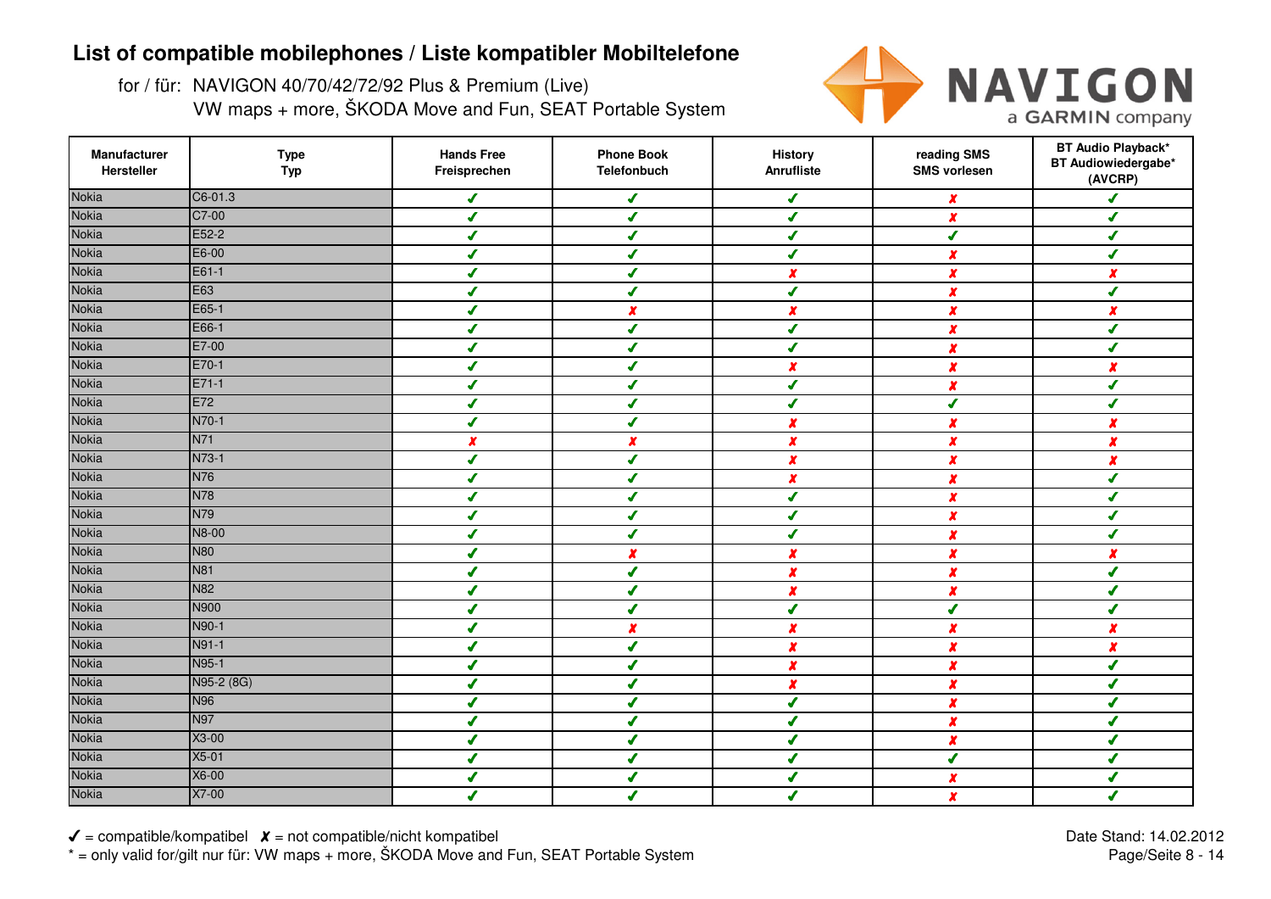for / für: NAVIGON 40/70/42/72/92 Plus & Premium (Live)VW maps + more, ŠKODA Move and Fun, SEAT Portable System



| Manufacturer<br>Hersteller | <b>Type</b><br><b>Typ</b> | <b>Hands Free</b><br>Freisprechen | <b>Phone Book</b><br>Telefonbuch | <b>History</b><br>Anrufliste | reading SMS<br><b>SMS vorlesen</b> | <b>BT Audio Playback*</b><br>BT Audiowiedergabe*<br>(AVCRP) |
|----------------------------|---------------------------|-----------------------------------|----------------------------------|------------------------------|------------------------------------|-------------------------------------------------------------|
| <b>Nokia</b>               | C6-01.3                   | ✔                                 | $\sqrt{2}$                       | $\boldsymbol{J}$             | $\boldsymbol{x}$                   | ✔                                                           |
| <b>Nokia</b>               | C7-00                     | ✔                                 | $\boldsymbol{J}$                 | $\overline{\mathcal{L}}$     | X                                  | ✔                                                           |
| <b>Nokia</b>               | E52-2                     | $\boldsymbol{J}$                  | $\boldsymbol{J}$                 | $\mathcal{L}$                | $\overline{\mathbf{r}}$            | ✔                                                           |
| <b>Nokia</b>               | E6-00                     | $\boldsymbol{J}$                  | ✔                                | $\mathcal{L}$                | $\boldsymbol{x}$                   | ✔                                                           |
| <b>Nokia</b>               | E61-1                     | ✔                                 | ✔                                | $\boldsymbol{x}$             | $\boldsymbol{x}$                   | $\boldsymbol{x}$                                            |
| <b>Nokia</b>               | E63                       | ✔                                 | $\overline{\mathcal{L}}$         | ✔                            | X                                  | ✔                                                           |
| <b>Nokia</b>               | E65-1                     | J                                 | $\boldsymbol{x}$                 | $\boldsymbol{x}$             | $\boldsymbol{x}$                   | $\boldsymbol{x}$                                            |
| <b>Nokia</b>               | E66-1                     | ✔                                 | ✔                                | J                            | X                                  | ✔                                                           |
| <b>Nokia</b>               | E7-00                     | ✔                                 |                                  | $\overline{\mathcal{L}}$     | x                                  | J                                                           |
| <b>Nokia</b>               | E70-1                     | ✔                                 | ✔                                | $\boldsymbol{x}$             | $\pmb{\chi}$                       | x                                                           |
| <b>Nokia</b>               | $E71-1$                   | ✔                                 | ✔                                | $\sqrt{2}$                   | $\pmb{\chi}$                       | ✔                                                           |
| <b>Nokia</b>               | E72                       | ✔                                 | ✔                                | $\sqrt{2}$                   | $\boldsymbol{J}$                   | ✔                                                           |
| <b>Nokia</b>               | N70-1                     | ✔                                 | $\overline{\mathcal{L}}$         | $\pmb{\chi}$                 | $\pmb{\chi}$                       | $\boldsymbol{x}$                                            |
| <b>Nokia</b>               | <b>N71</b>                | x                                 | $\boldsymbol{x}$                 | $\boldsymbol{x}$             | $\pmb{\chi}$                       | x                                                           |
| <b>Nokia</b>               | N73-1                     | $\boldsymbol{J}$                  | $\overline{\mathcal{L}}$         | $\pmb{x}$                    | $\boldsymbol{x}$                   | X                                                           |
| <b>Nokia</b>               | N76                       | ✔                                 | $\boldsymbol{J}$                 | $\boldsymbol{x}$             | $\boldsymbol{x}$                   | ✔                                                           |
| <b>Nokia</b>               | N78                       | ✔                                 | ✔                                | ✔                            | $\boldsymbol{x}$                   | ✔                                                           |
| <b>Nokia</b>               | N79                       | ✔                                 | J                                | ✔                            | $\boldsymbol{x}$                   | ✔                                                           |
| <b>Nokia</b>               | <b>N8-00</b>              | ✔                                 | ✔                                | $\boldsymbol{J}$             | $\boldsymbol{x}$                   | ✔                                                           |
| <b>Nokia</b>               | <b>N80</b>                | ✔                                 | $\boldsymbol{x}$                 | $\boldsymbol{x}$             | $\boldsymbol{x}$                   | x                                                           |
| <b>Nokia</b>               | <b>N81</b>                | ✔                                 | $\sqrt{2}$                       | $\pmb{\chi}$                 | X                                  | ✔                                                           |
| <b>Nokia</b>               | <b>N82</b>                | ✔                                 |                                  | $\boldsymbol{x}$             | $\pmb{\chi}$                       |                                                             |
| <b>Nokia</b>               | N900                      | ✔                                 | ✔                                | ✔                            | √                                  | ✔                                                           |
| <b>Nokia</b>               | N90-1                     | ✔                                 | $\pmb{\chi}$                     | $\pmb{\chi}$                 | $\boldsymbol{x}$                   | $\boldsymbol{x}$                                            |
| <b>Nokia</b>               | N91-1                     | ✔                                 | ✔                                | $\pmb{\chi}$                 | $\boldsymbol{x}$                   | $\boldsymbol{x}$                                            |
| <b>Nokia</b>               | N95-1                     | J                                 | $\mathcal{L}$                    | $\boldsymbol{x}$             | $\boldsymbol{x}$                   | Í                                                           |
| <b>Nokia</b>               | N95-2 (8G)                | $\boldsymbol{J}$                  | $\boldsymbol{J}$                 | $\pmb{\chi}$                 | $\boldsymbol{x}$                   | $\overline{\mathcal{L}}$                                    |
| <b>Nokia</b>               | <b>N96</b>                | ✔                                 | ✔                                | $\boldsymbol{J}$             | $\boldsymbol{x}$                   | ✔                                                           |
| <b>Nokia</b>               | <b>N97</b>                | ✔                                 | ✔                                | $\mathcal{L}$                | $\boldsymbol{x}$                   | ✔                                                           |
| <b>Nokia</b>               | X3-00                     | ✔                                 | J                                | J                            | $\boldsymbol{x}$                   | ✔                                                           |
| <b>Nokia</b>               | $X5-01$                   | J                                 | ✔                                | I                            | $\boldsymbol{J}$                   | ✔                                                           |
| <b>Nokia</b>               | X6-00                     | J                                 | ✔                                | J                            | $\boldsymbol{x}$                   | ✔                                                           |
| <b>Nokia</b>               | X7-00                     | ✔                                 | ✔                                | J                            | $\boldsymbol{x}$                   | ✔                                                           |

 $\checkmark$  = compatible/kompatibel  $\checkmark$  = not compatible/nicht kompatibel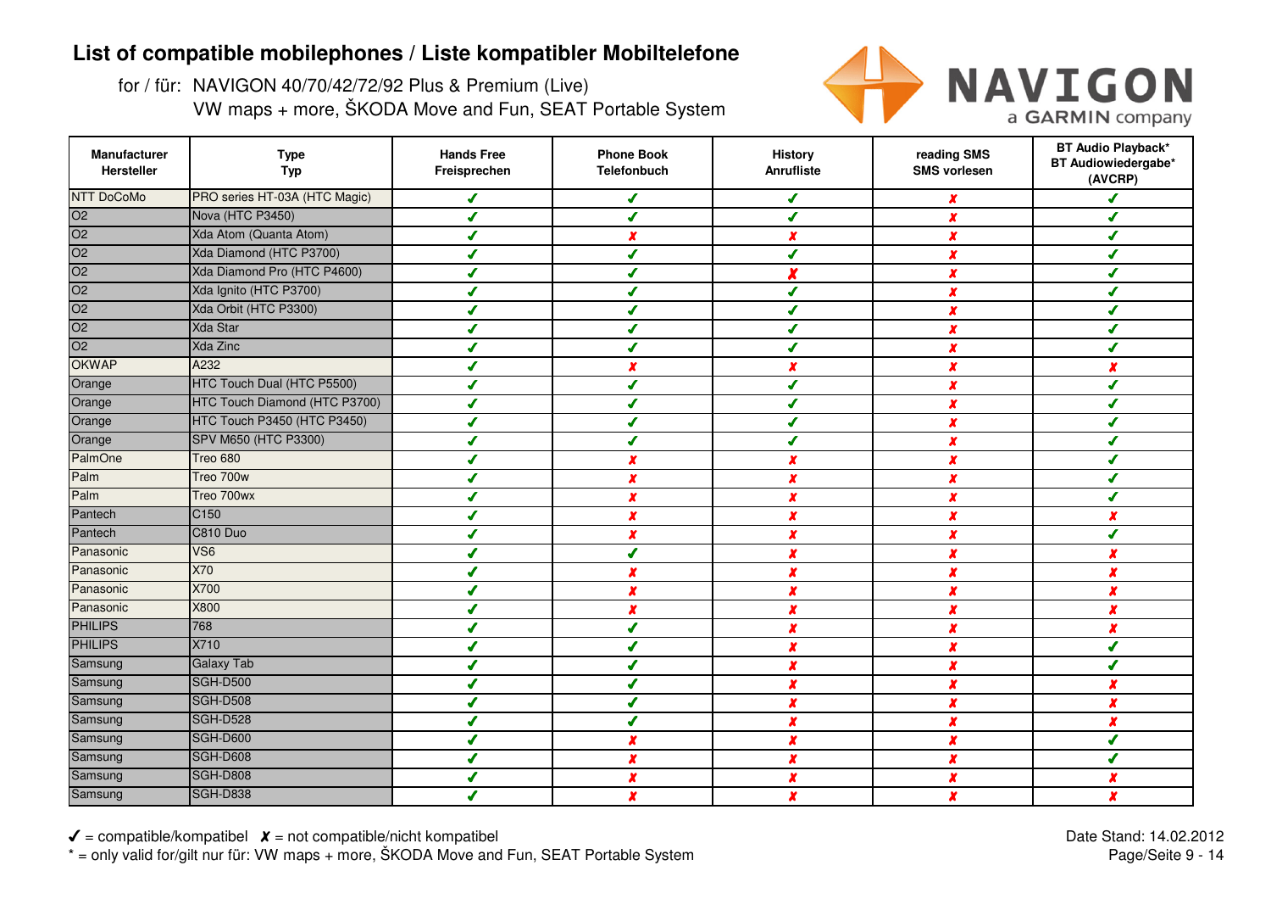for / für: NAVIGON 40/70/42/72/92 Plus & Premium (Live)VW maps + more, ŠKODA Move and Fun, SEAT Portable System



| Manufacturer<br>Hersteller                 | <b>Type</b><br><b>Typ</b>     | <b>Hands Free</b><br>Freisprechen | <b>Phone Book</b><br><b>Telefonbuch</b> | <b>History</b><br>Anrufliste | reading SMS<br><b>SMS vorlesen</b> | <b>BT Audio Playback*</b><br>BT Audiowiedergabe*<br>(AVCRP) |
|--------------------------------------------|-------------------------------|-----------------------------------|-----------------------------------------|------------------------------|------------------------------------|-------------------------------------------------------------|
| <b>NTT DoCoMo</b>                          | PRO series HT-03A (HTC Magic) | ✔                                 | ✔                                       | ✔                            | x                                  | s                                                           |
| O <sub>2</sub>                             | Nova (HTC P3450)              | J                                 | J                                       | J                            | X                                  | J                                                           |
| $\overline{O2}$                            | Xda Atom (Quanta Atom)        | ✔                                 | X                                       | x                            | X                                  | J                                                           |
| $\overline{O2}$                            | Xda Diamond (HTC P3700)       | ✔                                 | ✔                                       | ✔                            | X                                  | ✔                                                           |
| $\overline{O2}$                            | Xda Diamond Pro (HTC P4600)   | J                                 | J                                       | x                            | $\boldsymbol{x}$                   | J                                                           |
| O <sub>2</sub>                             | Xda Ignito (HTC P3700)        | J                                 | s                                       | J                            | x                                  | J                                                           |
| $\overline{O2}$                            | Xda Orbit (HTC P3300)         | J                                 |                                         | s                            | X                                  | J                                                           |
|                                            | <b>Xda Star</b>               | J                                 |                                         |                              | X                                  | J                                                           |
| $\frac{1}{02}$<br>$\frac{02}{02}$<br>OKWAP | Xda Zinc                      | J                                 |                                         |                              | x                                  | J                                                           |
|                                            | A232                          |                                   | x                                       | x                            | $\boldsymbol{x}$                   |                                                             |
| Orange                                     | HTC Touch Dual (HTC P5500)    | J                                 |                                         | J                            | $\boldsymbol{x}$                   | J                                                           |
| Orange                                     | HTC Touch Diamond (HTC P3700) | ✔                                 | ✔                                       | ✔                            | $\boldsymbol{x}$                   | J                                                           |
| Orange                                     | HTC Touch P3450 (HTC P3450)   | ✔                                 | J                                       | ✔                            | $\boldsymbol{x}$                   | J                                                           |
| Orange                                     | SPV M650 (HTC P3300)          | ✔                                 | ✔                                       | ✔                            | $\boldsymbol{x}$                   | J                                                           |
| PalmOne                                    | Treo 680                      | ✔                                 | X                                       | x                            | X                                  | J                                                           |
| Palm                                       | Treo 700w                     | ✔                                 | x                                       | $\boldsymbol{x}$             | $\boldsymbol{x}$                   | J                                                           |
| Palm                                       | Treo 700wx                    | ◢                                 | $\boldsymbol{x}$                        | $\boldsymbol{x}$             | $\boldsymbol{x}$                   | ◢                                                           |
| Pantech                                    | C <sub>150</sub>              | ✔                                 | $\boldsymbol{x}$                        | x                            | $\boldsymbol{x}$                   | $\boldsymbol{x}$                                            |
| Pantech                                    | C810 Duo                      | J                                 | x                                       | $\boldsymbol{x}$             | $\boldsymbol{x}$                   | J                                                           |
| Panasonic                                  | VS <sub>6</sub>               | J                                 | J                                       | x                            | X                                  | $\boldsymbol{x}$                                            |
| Panasonic                                  | X70                           |                                   |                                         | X                            | x                                  | x                                                           |
| Panasonic                                  | X700                          |                                   | x                                       | x                            | x                                  | x                                                           |
| Panasonic                                  | X800                          |                                   | $\boldsymbol{x}$                        | $\boldsymbol{x}$             | $\boldsymbol{x}$                   | $\boldsymbol{x}$                                            |
| <b>PHILIPS</b>                             | 768                           | 4                                 | J                                       | X                            | X                                  | $\boldsymbol{x}$                                            |
| <b>PHILIPS</b>                             | X710                          | J                                 | ✔                                       | $\pmb{\chi}$                 | x                                  | ✔                                                           |
| Samsung                                    | <b>Galaxy Tab</b>             |                                   | ✔                                       | $\boldsymbol{x}$             | X                                  | J                                                           |
| Samsung                                    | <b>SGH-D500</b>               | $\boldsymbol{J}$                  | J                                       | X                            | X                                  | $\boldsymbol{x}$                                            |
| Samsung                                    | <b>SGH-D508</b>               | ✔                                 | ✔                                       | x                            | x                                  | $\boldsymbol{x}$                                            |
| Samsung                                    | SGH-D528                      | J                                 | J                                       | x                            | X                                  | $\boldsymbol{x}$                                            |
| Samsung                                    | <b>SGH-D600</b>               | ✔                                 | X                                       | X                            | X                                  | J                                                           |
| Samsung                                    | <b>SGH-D608</b>               | J                                 | x                                       | x                            | X                                  | J                                                           |
| Samsung                                    | SGH-D808                      |                                   | x                                       | x                            | X                                  | $\boldsymbol{x}$                                            |
| Samsung                                    | <b>SGH-D838</b>               |                                   | $\pmb{\chi}$                            | X                            | x                                  | $\boldsymbol{x}$                                            |

 $\checkmark$  = compatible/kompatibel  $\checkmark$  = not compatible/nicht kompatibel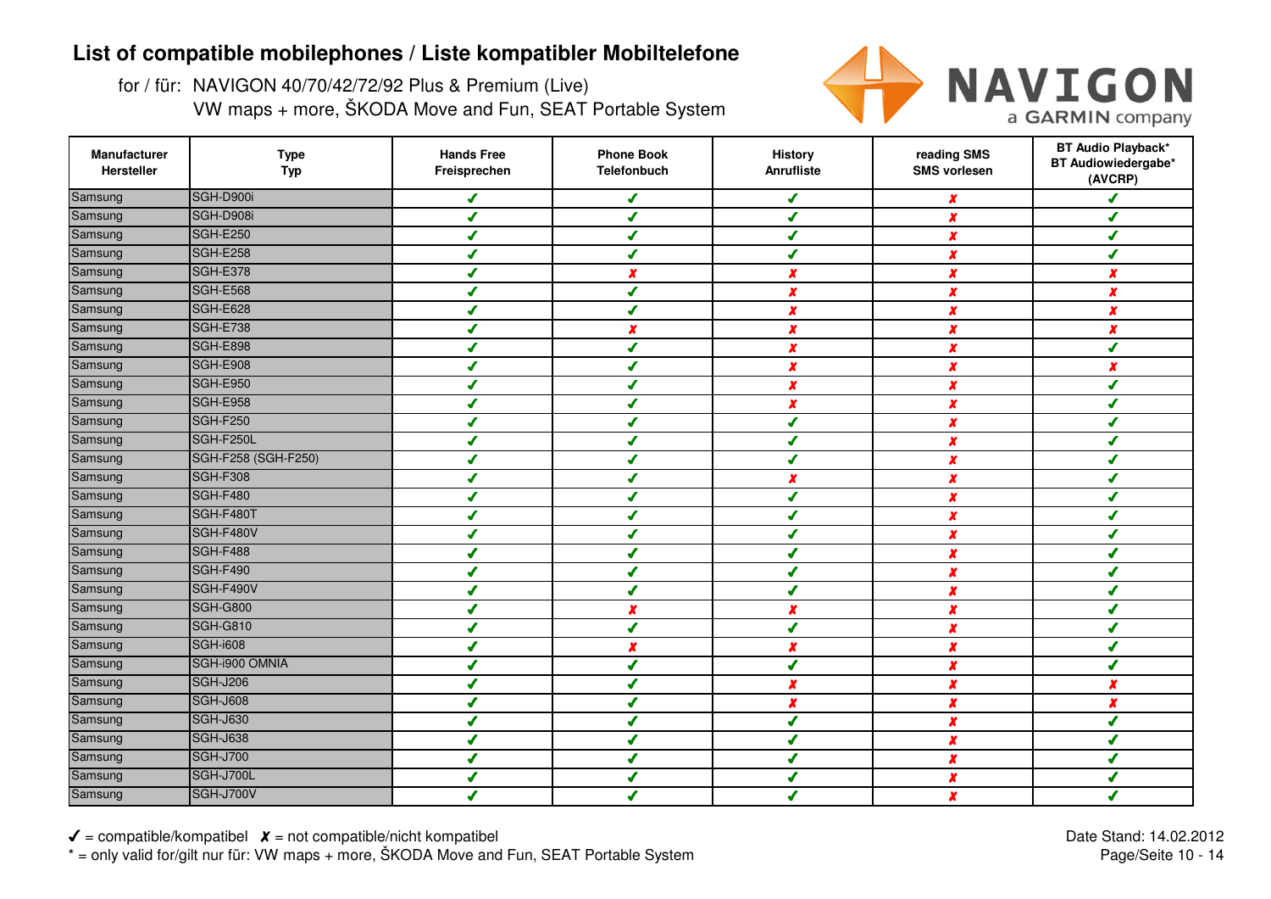for / für: NAVIGON 40/70/42/72/92 Plus & Premium (Live)VW maps + more, ŠKODA Move and Fun, SEAT Portable System



| Manufacturer<br>Hersteller | <b>Type</b><br><b>Typ</b> | <b>Hands Free</b><br>Freisprechen | <b>Phone Book</b><br>Telefonbuch | <b>History</b><br>Anrufliste | reading SMS<br><b>SMS vorlesen</b> | <b>BT Audio Playback*</b><br>BT Audiowiedergabe*<br>(AVCRP) |
|----------------------------|---------------------------|-----------------------------------|----------------------------------|------------------------------|------------------------------------|-------------------------------------------------------------|
| Samsung                    | SGH-D900i                 | ✔                                 | ✔                                | ✔                            | $\boldsymbol{x}$                   | J                                                           |
| Samsung                    | SGH-D908i                 | J                                 | ✔                                | J                            | $\boldsymbol{x}$                   | J                                                           |
| Samsung                    | <b>SGH-E250</b>           | ✔                                 | ✔                                | ✔                            | $\boldsymbol{x}$                   | ✔                                                           |
| Samsung                    | SGH-E258                  | ✔                                 | ✔                                | ✔                            | x                                  | ✔                                                           |
| Samsung                    | SGH-E378                  | ✔                                 | $\boldsymbol{x}$                 | $\boldsymbol{x}$             | x                                  | $\boldsymbol{x}$                                            |
| Samsung                    | SGH-E568                  | J                                 | J                                | x                            | x                                  | $\boldsymbol{x}$                                            |
| Samsung                    | SGH-E628                  | J                                 | J                                | X                            | $\boldsymbol{x}$                   | $\boldsymbol{x}$                                            |
| Samsung                    | SGH-E738                  | J                                 |                                  | $\boldsymbol{x}$             | x                                  | $\boldsymbol{x}$                                            |
| Samsung                    | SGH-E898                  | J                                 |                                  | x                            | $\boldsymbol{x}$                   | s                                                           |
| Samsung                    | SGH-E908                  | J                                 |                                  | $\boldsymbol{x}$             | x                                  | x                                                           |
| Samsung                    | <b>SGH-E950</b>           | J                                 | ✔                                | $\boldsymbol{x}$             | $\boldsymbol{x}$                   | ✔                                                           |
| Samsung                    | SGH-E958                  | ✔                                 | ✔                                | $\boldsymbol{x}$             | $\boldsymbol{x}$                   | ✔                                                           |
| Samsung                    | <b>SGH-F250</b>           | J                                 | J                                | $\boldsymbol{J}$             | $\boldsymbol{x}$                   | s                                                           |
| Samsung                    | SGH-F250L                 | ✔                                 | ✔                                | ✔                            | x                                  | ✔                                                           |
| Samsung                    | SGH-F258 (SGH-F250)       | ✔                                 | J                                | $\boldsymbol{J}$             | $\boldsymbol{x}$                   | J                                                           |
| Samsung                    | SGH-F308                  | ✔                                 | ✔                                | $\boldsymbol{x}$             | $\boldsymbol{x}$                   | ✔                                                           |
| Samsung                    | SGH-F480                  | J                                 | ✔                                | J                            | x                                  | ✔                                                           |
| Samsung                    | SGH-F480T                 | J                                 | s                                | ◢                            | $\boldsymbol{x}$                   | J                                                           |
| Samsung                    | SGH-F480V                 | ✔                                 | ✔                                | J                            | $\boldsymbol{x}$                   | J                                                           |
| Samsung                    | SGH-F488                  | J                                 |                                  | ◢                            | x                                  | J                                                           |
| Samsung                    | SGH-F490                  | J                                 |                                  |                              | $\boldsymbol{x}$                   |                                                             |
| Samsung                    | SGH-F490V                 |                                   |                                  |                              | X                                  |                                                             |
| Samsung                    | <b>SGH-G800</b>           | J                                 | $\boldsymbol{x}$                 | $\boldsymbol{x}$             | x                                  | J                                                           |
| Samsung                    | <b>SGH-G810</b>           | J                                 | ✔                                | ✔                            | X                                  | J                                                           |
| Samsung                    | <b>SGH-i608</b>           | ✔                                 | x                                | x                            | $\pmb{\chi}$                       | J                                                           |
| Samsung                    | SGH-i900 OMNIA            | J                                 | ✔                                | J                            | $\boldsymbol{x}$                   | J                                                           |
| Samsung                    | <b>SGH-J206</b>           | ✔                                 | ✔                                | x                            | $\boldsymbol{x}$                   | $\boldsymbol{x}$                                            |
| Samsung                    | <b>SGH-J608</b>           | ✔                                 | ✔                                | $\boldsymbol{x}$             | $\boldsymbol{x}$                   | $\boldsymbol{x}$                                            |
| Samsung                    | <b>SGH-J630</b>           | ✔                                 | J                                | J                            | $\boldsymbol{x}$                   | ✔                                                           |
| Samsung                    | <b>SGH-J638</b>           | J                                 | s                                | ◢                            | $\boldsymbol{x}$                   | ✔                                                           |
| Samsung                    | <b>SGH-J700</b>           | ◢                                 | J                                |                              | x                                  | J                                                           |
| Samsung                    | SGH-J700L                 | J                                 |                                  |                              | x                                  | ✔                                                           |
| Samsung                    | <b>SGH-J700V</b>          |                                   |                                  |                              | $\boldsymbol{x}$                   | ✔                                                           |

 $\checkmark$  = compatible/kompatibel  $\checkmark$  = not compatible/nicht kompatibel \* = only valid for/gilt nur für: VW maps + more, ŠKODA Move and Fun, SEAT Portable System Date Stand: 14.02.2012Page/Seite 10 - 14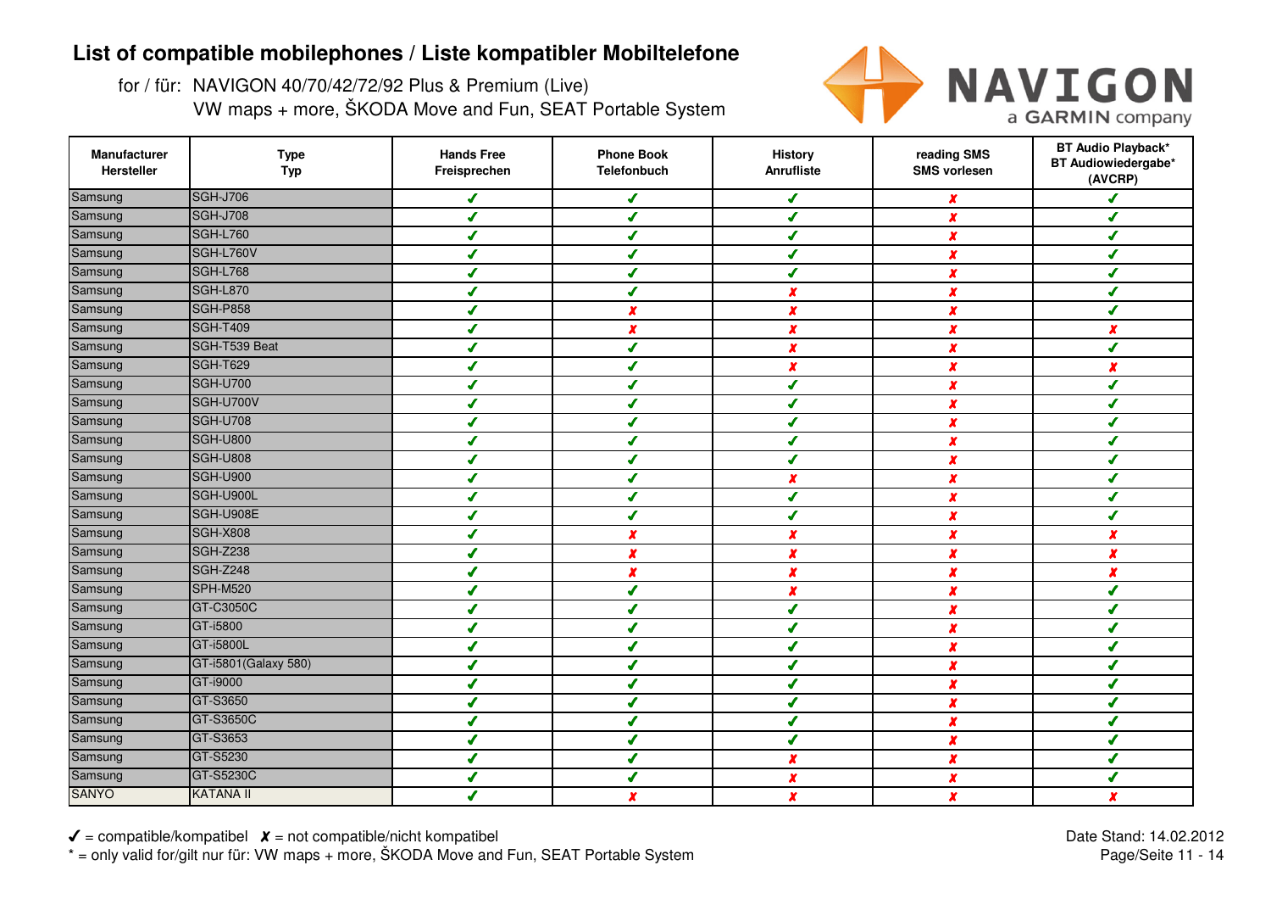for / für: NAVIGON 40/70/42/72/92 Plus & Premium (Live)VW maps + more, ŠKODA Move and Fun, SEAT Portable System



| Manufacturer<br>Hersteller | <b>Type</b><br><b>Typ</b> | <b>Hands Free</b><br>Freisprechen | <b>Phone Book</b><br>Telefonbuch | <b>History</b><br>Anrufliste | reading SMS<br><b>SMS vorlesen</b> | <b>BT Audio Playback*</b><br>BT Audiowiedergabe*<br>(AVCRP) |
|----------------------------|---------------------------|-----------------------------------|----------------------------------|------------------------------|------------------------------------|-------------------------------------------------------------|
| Samsung                    | <b>SGH-J706</b>           | ✔                                 | ✔                                | ✔                            | $\boldsymbol{x}$                   | J                                                           |
| Samsung                    | <b>SGH-J708</b>           | J                                 | J                                | J                            | $\boldsymbol{x}$                   | J                                                           |
| Samsung                    | <b>SGH-L760</b>           | ✔                                 | ✔                                | ✔                            | $\boldsymbol{x}$                   | ✔                                                           |
| Samsung                    | SGH-L760V                 | ✔                                 | ✔                                | ✔                            | x                                  | ✔                                                           |
| Samsung                    | SGH-L768                  | ✔                                 | J                                | J                            | x                                  | J                                                           |
| Samsung                    | SGH-L870                  | J                                 | J                                | x                            | x                                  | J                                                           |
| Samsung                    | <b>SGH-P858</b>           | J                                 | $\boldsymbol{x}$                 | X                            | X                                  | s                                                           |
| Samsung                    | <b>SGH-T409</b>           | J                                 | $\boldsymbol{x}$                 | $\boldsymbol{x}$             | x                                  | x                                                           |
| Samsung                    | SGH-T539 Beat             | J                                 |                                  | x                            | $\boldsymbol{x}$                   | s                                                           |
| Samsung                    | <b>SGH-T629</b>           | J                                 |                                  | $\boldsymbol{x}$             | x                                  | x                                                           |
| Samsung                    | <b>SGH-U700</b>           | J                                 | ✔                                | ✔                            | $\boldsymbol{x}$                   | ✔                                                           |
| Samsung                    | SGH-U700V                 | ✔                                 | ✔                                | J                            | $\boldsymbol{x}$                   | ✔                                                           |
| Samsung                    | <b>SGH-U708</b>           | J                                 | J                                | J                            | $\boldsymbol{x}$                   | s                                                           |
| Samsung                    | <b>SGH-U800</b>           | ✔                                 | ✔                                | ✔                            | x                                  | ✔                                                           |
| Samsung                    | <b>SGH-U808</b>           | ✔                                 | J                                | $\boldsymbol{J}$             | $\boldsymbol{x}$                   | J                                                           |
| Samsung                    | <b>SGH-U900</b>           | ✔                                 | ✔                                | $\boldsymbol{x}$             | $\boldsymbol{x}$                   | ✔                                                           |
| Samsung                    | SGH-U900L                 | J                                 | ✔                                | J                            | x                                  | ✔                                                           |
| Samsung                    | SGH-U908E                 | J                                 | J                                | J                            | $\boldsymbol{x}$                   | J                                                           |
| Samsung                    | <b>SGH-X808</b>           | ✔                                 | x                                | $\boldsymbol{x}$             | $\boldsymbol{x}$                   | x                                                           |
| Samsung                    | <b>SGH-Z238</b>           | J                                 | $\boldsymbol{x}$                 | $\boldsymbol{x}$             | x                                  | x                                                           |
| Samsung                    | <b>SGH-Z248</b>           | J                                 |                                  | X                            | $\boldsymbol{x}$                   | x                                                           |
| Samsung                    | <b>SPH-M520</b>           |                                   |                                  | x                            | X                                  |                                                             |
| Samsung                    | GT-C3050C                 | J                                 |                                  | J                            | $\boldsymbol{x}$                   | J                                                           |
| Samsung                    | GT-i5800                  | J                                 | J                                | ✔                            | $\boldsymbol{x}$                   | J                                                           |
| Samsung                    | GT-i5800L                 | J                                 | ✔                                | $\mathcal{L}$                | $\pmb{\chi}$                       | ✔                                                           |
| Samsung                    | GT-i5801(Galaxy 580)      | J                                 | J                                | J                            | $\boldsymbol{x}$                   | J                                                           |
| Samsung                    | GT-i9000                  | J                                 | ✔                                | J                            | $\boldsymbol{x}$                   | ✔                                                           |
| Samsung                    | GT-S3650                  | ✔                                 | ✔                                | ✔                            | x                                  | ✔                                                           |
| Samsung                    | GT-S3650C                 | J                                 | J                                | J                            | $\boldsymbol{x}$                   | ✔                                                           |
| Samsung                    | GT-S3653                  | J                                 | s                                | s                            | $\boldsymbol{x}$                   | ✔                                                           |
| Samsung                    | GT-S5230                  | J                                 | J                                | x                            | $\boldsymbol{x}$                   | J                                                           |
| Samsung                    | GT-S5230C                 | J                                 |                                  | $\boldsymbol{x}$             | x                                  | ✔                                                           |
| <b>SANYO</b>               | <b>KATANA II</b>          |                                   | $\pmb{\chi}$                     | X                            | $\boldsymbol{x}$                   | $\boldsymbol{x}$                                            |

 $\checkmark$  = compatible/kompatibel  $\checkmark$  = not compatible/nicht kompatibel \* = only valid for/gilt nur für: VW maps + more, ŠKODA Move and Fun, SEAT Portable System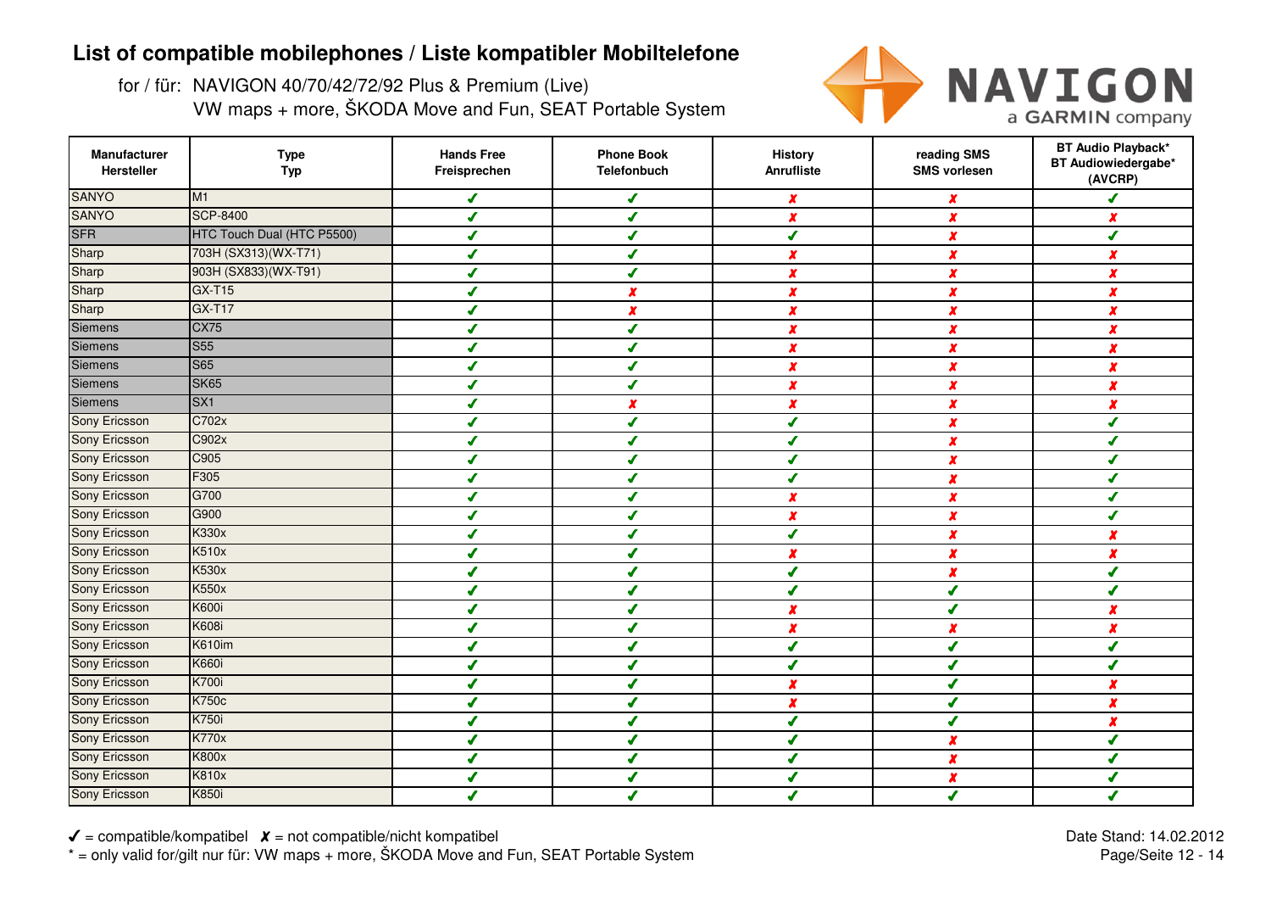for / für: NAVIGON 40/70/42/72/92 Plus & Premium (Live)VW maps + more, ŠKODA Move and Fun, SEAT Portable System



| Manufacturer<br>Hersteller | <b>Type</b><br><b>Typ</b>  | <b>Hands Free</b><br>Freisprechen | <b>Phone Book</b><br>Telefonbuch | <b>History</b><br>Anrufliste | reading SMS<br><b>SMS vorlesen</b> | <b>BT Audio Playback*</b><br>BT Audiowiedergabe*<br>(AVCRP) |
|----------------------------|----------------------------|-----------------------------------|----------------------------------|------------------------------|------------------------------------|-------------------------------------------------------------|
| <b>SANYO</b>               | M1                         | ✔                                 | ✔                                | X                            | X                                  | J                                                           |
| <b>SANYO</b>               | <b>SCP-8400</b>            | ✔                                 | ✔                                | X                            | $\boldsymbol{x}$                   | $\boldsymbol{x}$                                            |
| <b>SFR</b>                 | HTC Touch Dual (HTC P5500) | $\mathcal{L}$                     | ✔                                | ✔                            | $\boldsymbol{x}$                   | ✔                                                           |
| Sharp                      | 703H (SX313) (WX-T71)      | ✔                                 | ✔                                | $\boldsymbol{x}$             | X                                  | $\boldsymbol{x}$                                            |
| Sharp                      | 903H (SX833) (WX-T91)      | ✔                                 | ✔                                | X                            | $\boldsymbol{x}$                   | $\boldsymbol{x}$                                            |
| Sharp                      | <b>GX-T15</b>              | ✔                                 | $\boldsymbol{x}$                 | X                            | X                                  | $\boldsymbol{x}$                                            |
| Sharp                      | <b>GX-T17</b>              | J                                 | $\boldsymbol{x}$                 | X                            | X                                  | $\mathbf{x}$                                                |
| Siemens                    | <b>CX75</b>                | ✔                                 | ✔                                | x                            | $\boldsymbol{x}$                   | $\boldsymbol{x}$                                            |
| Siemens                    | <b>S55</b>                 | $\overline{\mathcal{L}}$          | ✔                                | $\boldsymbol{x}$             | X                                  | $\boldsymbol{x}$                                            |
| Siemens                    | <b>S65</b>                 |                                   |                                  | $\pmb{\chi}$                 | X                                  | x                                                           |
| <b>Siemens</b>             | <b>SK65</b>                | J                                 | ✔                                | $\boldsymbol{x}$             | $\boldsymbol{x}$                   | $\boldsymbol{x}$                                            |
| Siemens                    | SX <sub>1</sub>            | J                                 | $\boldsymbol{x}$                 | X                            | $\boldsymbol{x}$                   | $\boldsymbol{x}$                                            |
| Sony Ericsson              | C702x                      |                                   | ✔                                | ✔                            | $\boldsymbol{x}$                   | ✔                                                           |
| Sony Ericsson              | C902x                      |                                   | ✔                                | ✔                            | $\boldsymbol{x}$                   | ✔                                                           |
| Sony Ericsson              | C905                       | $\overline{\mathcal{L}}$          | ✔                                | ✔                            | $\boldsymbol{x}$                   | ✔                                                           |
| Sony Ericsson              | F305                       | ✔                                 | ✔                                | ✔                            | $\boldsymbol{x}$                   | J                                                           |
| Sony Ericsson              | G700                       | ✔                                 | ✔                                | $\boldsymbol{x}$             | $\boldsymbol{x}$                   | ✔                                                           |
| Sony Ericsson              | G900                       | ✔                                 | ✔                                | x                            | $\boldsymbol{x}$                   | ✔                                                           |
| Sony Ericsson              | <b>K330x</b>               | J                                 | J                                | J                            | $\boldsymbol{x}$                   | $\boldsymbol{x}$                                            |
| Sony Ericsson              | <b>K510x</b>               | ✔                                 | ✔                                | $\boldsymbol{x}$             | $\boldsymbol{x}$                   | $\boldsymbol{x}$                                            |
| Sony Ericsson              | <b>K530x</b>               | $\overline{\mathcal{L}}$          | J                                | ✔                            | x                                  | ✔                                                           |
| Sony Ericsson              | <b>K550x</b>               | J                                 |                                  | J                            | ✔                                  | J                                                           |
| Sony Ericsson              | <b>K600i</b>               | ✔                                 | ✔                                | x                            | ✔                                  | $\boldsymbol{x}$                                            |
| Sony Ericsson              | <b>K608i</b>               | $\overline{\mathcal{L}}$          | ✔                                | X                            | $\boldsymbol{x}$                   | $\boldsymbol{x}$                                            |
| Sony Ericsson              | K610im                     | ✔                                 | ✔                                | ✔                            | $\boldsymbol{J}$                   | ✔                                                           |
| <b>Sony Ericsson</b>       | <b>K660i</b>               | ✔                                 | ✔                                | J                            | ✔                                  | ✔                                                           |
| Sony Ericsson              | <b>K700i</b>               | ✔                                 | ✔                                | X                            | ✔                                  | $\boldsymbol{x}$                                            |
| Sony Ericsson              | <b>K750c</b>               | ✔                                 | ✔                                | X                            | ✔                                  | $\boldsymbol{x}$                                            |
| <b>Sony Ericsson</b>       | <b>K750i</b>               | J                                 | ✔                                | J                            | ✔                                  | $\boldsymbol{x}$                                            |
| <b>Sony Ericsson</b>       | <b>K770x</b>               | J                                 | J                                | J                            | X                                  | ✔                                                           |
| <b>Sony Ericsson</b>       | <b>K800x</b>               | J                                 | ✔                                | ✔                            | x                                  | ✔                                                           |
| Sony Ericsson              | <b>K810x</b>               | J                                 | ✔                                | J                            | X                                  | ✔                                                           |
| Sony Ericsson              | <b>K850i</b>               |                                   | J                                | ℐ                            | ✔                                  | J                                                           |

 $\checkmark$  = compatible/kompatibel  $\checkmark$  = not compatible/nicht kompatibel \* = only valid for/gilt nur für: VW maps + more, ŠKODA Move and Fun, SEAT Portable System Date Stand: 14.02.2012Page/Seite 12 - 14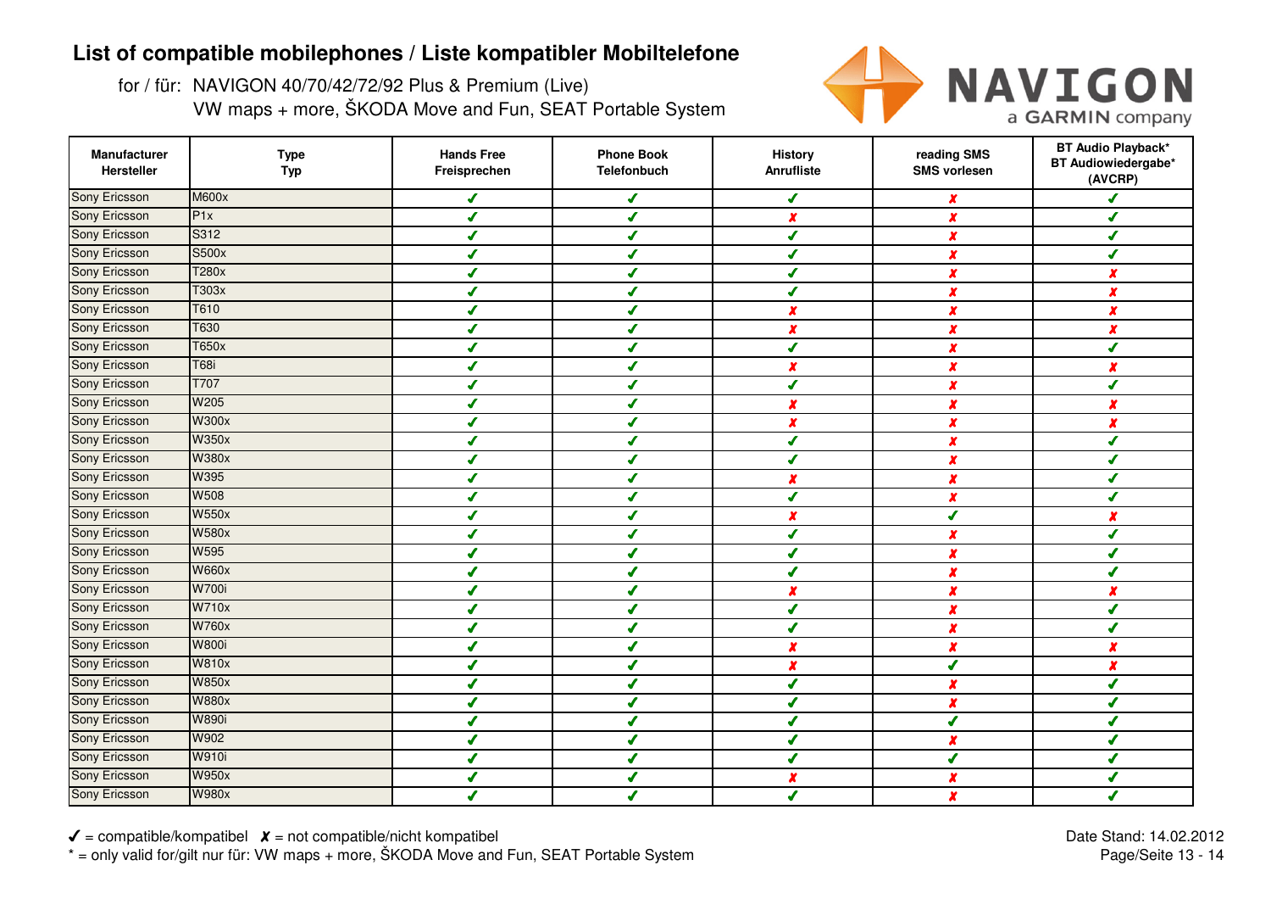for / für: NAVIGON 40/70/42/72/92 Plus & Premium (Live)VW maps + more, ŠKODA Move and Fun, SEAT Portable System



| Manufacturer<br>Hersteller | <b>Type</b><br><b>Typ</b> | <b>Hands Free</b><br>Freisprechen | <b>Phone Book</b><br>Telefonbuch | <b>History</b><br>Anrufliste | reading SMS<br><b>SMS vorlesen</b> | <b>BT Audio Playback*</b><br>BT Audiowiedergabe*<br>(AVCRP) |
|----------------------------|---------------------------|-----------------------------------|----------------------------------|------------------------------|------------------------------------|-------------------------------------------------------------|
| <b>Sony Ericsson</b>       | <b>M600x</b>              | ✔                                 | $\boldsymbol{J}$                 | ✔                            | $\pmb{\chi}$                       | J                                                           |
| Sony Ericsson              | P1x                       | ✔                                 | $\boldsymbol{J}$                 | X                            | $\boldsymbol{x}$                   | $\mathcal I$                                                |
| Sony Ericsson              | S312                      | ✔                                 | ✔                                | ✔                            | X                                  | ✔                                                           |
| Sony Ericsson              | S500x                     | ✔                                 | $\overline{\mathcal{L}}$         | ✔                            | $\boldsymbol{x}$                   | J                                                           |
| Sony Ericsson              | T280x                     | ✔                                 | $\boldsymbol{J}$                 | $\overline{\mathcal{L}}$     | $\boldsymbol{x}$                   | $\boldsymbol{x}$                                            |
| <b>Sony Ericsson</b>       | T303x                     | ✔                                 | J                                | ✔                            | X                                  | $\boldsymbol{x}$                                            |
| <b>Sony Ericsson</b>       | T610                      | J                                 | J                                | X                            | X                                  | $\boldsymbol{x}$                                            |
| Sony Ericsson              | T630                      | ✔                                 | J                                | $\boldsymbol{x}$             | $\boldsymbol{x}$                   | $\boldsymbol{x}$                                            |
| Sony Ericsson              | <b>T650x</b>              | ✔                                 | J                                | ✔                            | X                                  | J                                                           |
| Sony Ericsson              | <b>T68i</b>               |                                   | ✔                                | x                            | X                                  | $\boldsymbol{x}$                                            |
| Sony Ericsson              | T707                      | ✔                                 | ✔                                | $\overline{\mathcal{L}}$     | $\boldsymbol{x}$                   | ✔                                                           |
| Sony Ericsson              | W205                      | ✔                                 | ✔                                | X                            | X                                  | $\boldsymbol{x}$                                            |
| Sony Ericsson              | <b>W300x</b>              | J                                 | ✔                                | $\boldsymbol{x}$             | $\boldsymbol{x}$                   | $\boldsymbol{x}$                                            |
| Sony Ericsson              | <b>W350x</b>              | $\overline{\mathcal{L}}$          | $\boldsymbol{J}$                 | $\overline{\mathcal{L}}$     | $\boldsymbol{x}$                   | $\boldsymbol{J}$                                            |
| Sony Ericsson              | <b>W380x</b>              | ✔                                 | ✔                                | ✔                            | $\boldsymbol{x}$                   | ✔                                                           |
| <b>Sony Ericsson</b>       | W395                      | ✔                                 | $\overline{\mathcal{L}}$         | x                            | $\boldsymbol{x}$                   | J                                                           |
| Sony Ericsson              | <b>W508</b>               | ✔                                 | $\boldsymbol{J}$                 | $\overline{\mathbf{f}}$      | $\boldsymbol{x}$                   | ✔                                                           |
| Sony Ericsson              | <b>W550x</b>              | ✔                                 | ✔                                | $\boldsymbol{x}$             | ✔                                  | $\boldsymbol{x}$                                            |
| Sony Ericsson              | <b>W580x</b>              | J                                 | J                                | $\overline{\mathcal{L}}$     | $\boldsymbol{x}$                   | $\boldsymbol{J}$                                            |
| Sony Ericsson              | W595                      | ✔                                 | ✔                                | J                            | $\boldsymbol{x}$                   | $\boldsymbol{J}$                                            |
| Sony Ericsson              | <b>W660x</b>              | J                                 | J                                | ✔                            | X                                  | J                                                           |
| Sony Ericsson              | <b>W700i</b>              |                                   | $\overline{\mathcal{L}}$         | X                            | X                                  | $\boldsymbol{x}$                                            |
| Sony Ericsson              | <b>W710x</b>              | ✔                                 | ✔                                | J                            | x                                  | ✔                                                           |
| Sony Ericsson              | <b>W760x</b>              | ✔                                 | ✔                                | J                            | X                                  | ✔                                                           |
| Sony Ericsson              | <b>W800i</b>              | J                                 | $\boldsymbol{J}$                 | X                            | X                                  | $\boldsymbol{x}$                                            |
| <b>Sony Ericsson</b>       | <b>W810x</b>              | ✔                                 | $\boldsymbol{J}$                 | X                            | ✔                                  | $\boldsymbol{x}$                                            |
| Sony Ericsson              | <b>W850x</b>              | ✔                                 | ✔                                | J                            | X                                  | ✔                                                           |
| Sony Ericsson              | <b>W880x</b>              | ✔                                 | $\boldsymbol{J}$                 | J                            | X                                  | ✔                                                           |
| <b>Sony Ericsson</b>       | <b>W890i</b>              | ✔                                 | J                                | ✔                            | ✔                                  | ✔                                                           |
| <b>Sony Ericsson</b>       | W902                      | ✔                                 | J                                | ✔                            | X                                  | ✔                                                           |
| Sony Ericsson              | <b>W910i</b>              | ✔                                 | ✔                                | ✔                            | ✔                                  | ✔                                                           |
| Sony Ericsson              | <b>W950x</b>              | ✔                                 | ✔                                | x                            | X                                  | J                                                           |
| Sony Ericsson              | <b>W980x</b>              |                                   |                                  | ✔                            | X                                  | J                                                           |

 $\checkmark$  = compatible/kompatibel  $\checkmark$  = not compatible/nicht kompatibel